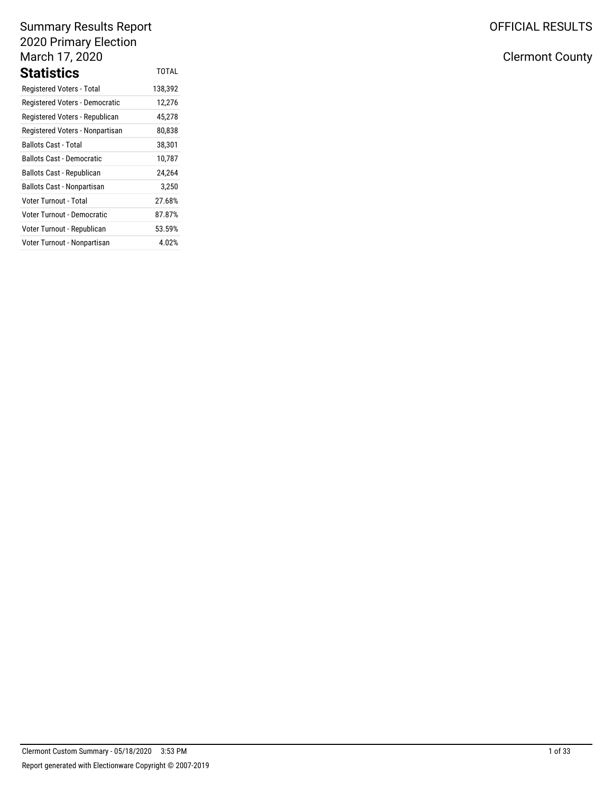# Summary Results Report 2020 Primary Election March 17, 2020 **Statistics** TOTAL

| Registered Voters - Total         | 138,392 |
|-----------------------------------|---------|
| Registered Voters - Democratic    | 12,276  |
| Registered Voters - Republican    | 45,278  |
| Registered Voters - Nonpartisan   | 80,838  |
| <b>Ballots Cast - Total</b>       | 38,301  |
| Ballots Cast - Democratic         | 10,787  |
| Ballots Cast - Republican         | 24,264  |
| <b>Ballots Cast - Nonpartisan</b> | 3,250   |
| Voter Turnout - Total             | 27.68%  |
| Voter Turnout - Democratic        | 87.87%  |
| Voter Turnout - Republican        | 53.59%  |
| Voter Turnout - Nonpartisan       | 4.02%   |

OFFICIAL RESULTS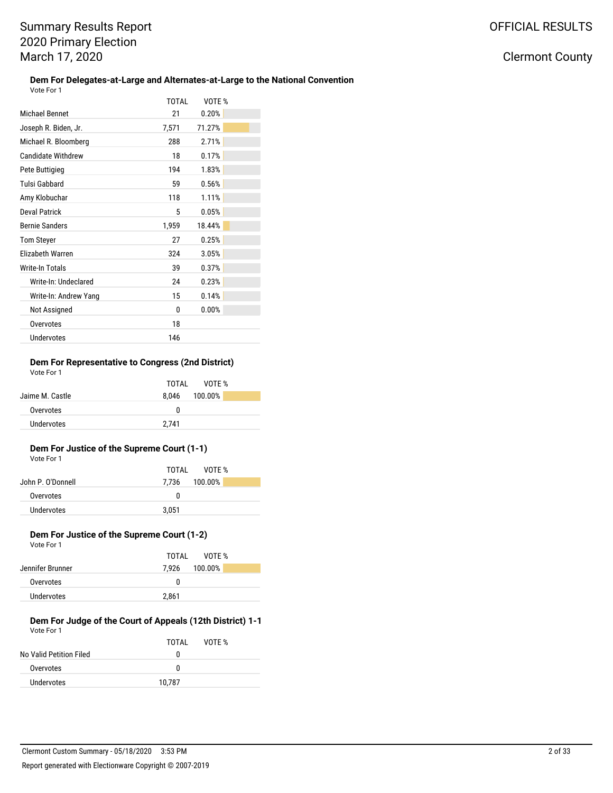### Clermont County

### **Dem For Delegates-at-Large and Alternates-at-Large to the National Convention**

| Vote For 1                |       |        |  |
|---------------------------|-------|--------|--|
|                           | TOTAL | VOTE % |  |
| Michael Bennet            | 21    | 0.20%  |  |
| Joseph R. Biden, Jr.      | 7,571 | 71.27% |  |
| Michael R. Bloomberg      | 288   | 2.71%  |  |
| <b>Candidate Withdrew</b> | 18    | 0.17%  |  |
| Pete Buttigieg            | 194   | 1.83%  |  |
| <b>Tulsi Gabbard</b>      | 59    | 0.56%  |  |
| Amy Klobuchar             | 118   | 1.11%  |  |
| <b>Deval Patrick</b>      | 5     | 0.05%  |  |
| <b>Bernie Sanders</b>     | 1,959 | 18.44% |  |
| <b>Tom Steyer</b>         | 27    | 0.25%  |  |
| Elizabeth Warren          | 324   | 3.05%  |  |
| Write-In Totals           | 39    | 0.37%  |  |
| Write-In: Undeclared      | 24    | 0.23%  |  |
| Write-In: Andrew Yang     | 15    | 0.14%  |  |
| Not Assigned              | 0     | 0.00%  |  |
| Overvotes                 | 18    |        |  |
| Undervotes                | 146   |        |  |

#### **Dem For Representative to Congress (2nd District)** Vote For 1

|                 | TOTAI<br>VOTF %  |
|-----------------|------------------|
| Jaime M. Castle | 100.00%<br>8.046 |
| Overvotes       | n                |
| Undervotes      | 2.741            |
|                 |                  |

#### **Dem For Justice of the Supreme Court (1-1)** Vote For 1

|                   | TOTAL<br>VOTF % |
|-------------------|-----------------|
| John P. O'Donnell | 7.736 100.00%   |
| Overvotes         | n               |
| Undervotes        | 3.051           |
|                   |                 |

#### **Dem For Justice of the Supreme Court (1-2)** Vote For 1

| VULCIUII         |                  |
|------------------|------------------|
|                  | TOTAL VOTE %     |
| Jennifer Brunner | 100.00%<br>7.926 |
| Overvotes        | $\theta$         |
| Undervotes       | 2,861            |
|                  |                  |

#### **Dem For Judge of the Court of Appeals (12th District) 1-1** Vote For 1

|                         | TOTAL  | VOTE % |
|-------------------------|--------|--------|
| No Valid Petition Filed | O      |        |
| Overvotes               | n      |        |
| Undervotes              | 10.787 |        |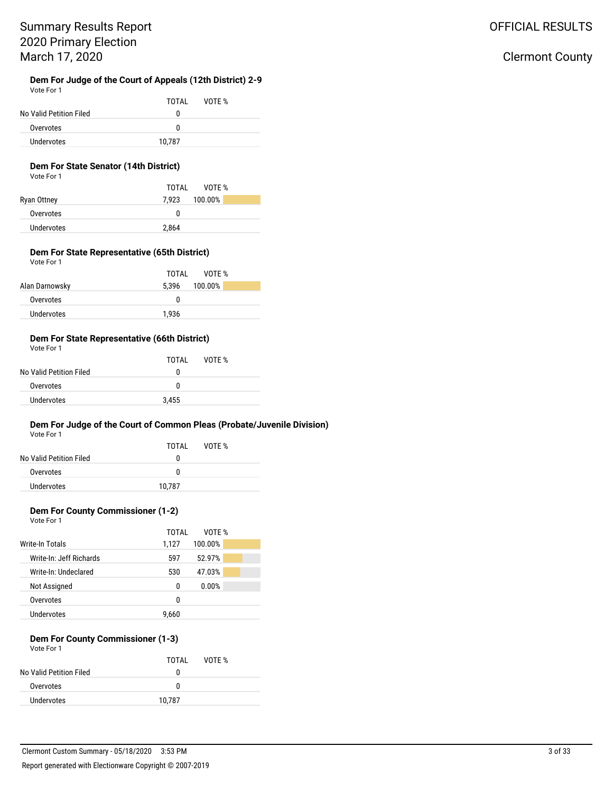### OFFICIAL RESULTS

### Clermont County

#### **Dem For Judge of the Court of Appeals (12th District) 2-9** Vote For 1

|                         | TOTAL  | VOTF % |  |
|-------------------------|--------|--------|--|
| No Valid Petition Filed | n      |        |  |
| Overvotes               | n      |        |  |
| Undervotes              | 10.787 |        |  |

### **Dem For State Senator (14th District)**

Vote For 1

|             | VOTF %<br>TOTAI |  |
|-------------|-----------------|--|
| Ryan Ottney | 7,923 100.00%   |  |
| Overvotes   | 0               |  |
| Undervotes  | 2,864           |  |

#### **Dem For State Representative (65th District)** Vote For 1

| TOTAL<br>VOTF %  |
|------------------|
| 100.00%<br>5.396 |
| $\theta$         |
| 1.936            |
|                  |

#### **Dem For State Representative (66th District)** Vote For 1

| VULTE FUIT              |       |        |  |
|-------------------------|-------|--------|--|
|                         | TOTAI | VOTF % |  |
| No Valid Petition Filed | 0     |        |  |
| Overvotes               | O     |        |  |
| Undervotes              | 3,455 |        |  |

### **Dem For Judge of the Court of Common Pleas (Probate/Juvenile Division)**

Vote For 1

| No Valid Petition Filed | TOTAI<br>$^{(1)}$ | VOTF % |
|-------------------------|-------------------|--------|
| Overvotes               | O                 |        |
| Undervotes              | 10.787            |        |

### **Dem For County Commissioner (1-2)**

| Vote For 1 |  |
|------------|--|
|            |  |

|                         | TOTAI | VOTE %  |  |
|-------------------------|-------|---------|--|
| Write-In Totals         | 1.127 | 100.00% |  |
| Write-In: Jeff Richards | 597   | 52.97%  |  |
| Write-In: Undeclared    | 530   | 47.03%  |  |
| Not Assigned            | 0     | 0.00%   |  |
| Overvotes               | n     |         |  |
| Undervotes              | 9.660 |         |  |

#### **Dem For County Commissioner (1-3)** Vote For 1

| VULE FUI I              |        |        |  |
|-------------------------|--------|--------|--|
|                         | TOTAI  | VOTF % |  |
| No Valid Petition Filed | o      |        |  |
| Overvotes               | n      |        |  |
| Undervotes              | 10,787 |        |  |
|                         |        |        |  |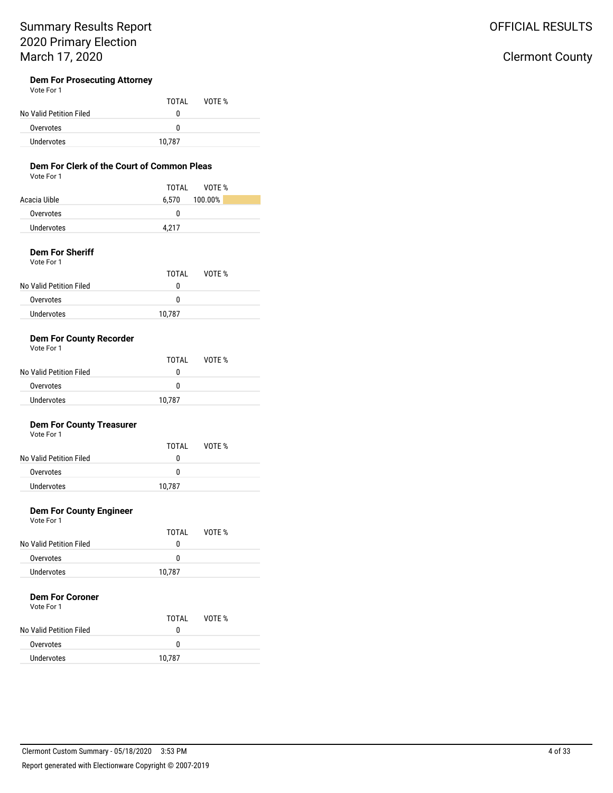# OFFICIAL RESULTS

# Clermont County

### **Dem For Prosecuting Attorney**

|                         | TOTAI  | VOTE % |  |
|-------------------------|--------|--------|--|
| No Valid Petition Filed | o      |        |  |
| Overvotes               | n      |        |  |
| Undervotes              | 10,787 |        |  |

### **Dem For Clerk of the Court of Common Pleas**

|--|

|              | TOTAI<br>VOTF %  |
|--------------|------------------|
| Acacia Uible | 100.00%<br>6.570 |
| Overvotes    | 0                |
| Undervotes   | 4.217            |

#### **Dem For Sheriff** Vote For 1

| VULCIUII                |        |        |  |
|-------------------------|--------|--------|--|
|                         | TOTAI  | VOTF % |  |
| No Valid Petition Filed | o      |        |  |
| Overvotes               | n      |        |  |
| Undervotes              | 10.787 |        |  |
|                         |        |        |  |

### **Dem For County Recorder**

| Vote For 1              |        |        |  |
|-------------------------|--------|--------|--|
|                         | TOTAI  | VOTE % |  |
| No Valid Petition Filed | o      |        |  |
| Overvotes               | n      |        |  |
| Undervotes              | 10.787 |        |  |

### **Dem For County Treasurer**

Vote For 1

### **Dem For County Engineer**

Vote For 1

|                         | TOTAI  | VOTE % |  |
|-------------------------|--------|--------|--|
| No Valid Petition Filed | 0      |        |  |
| Overvotes               | o      |        |  |
| Undervotes              | 10,787 |        |  |

### **Dem For Coroner**

| TOTAI  | VOTE % |
|--------|--------|
| 0      |        |
| 0      |        |
| 10,787 |        |
|        |        |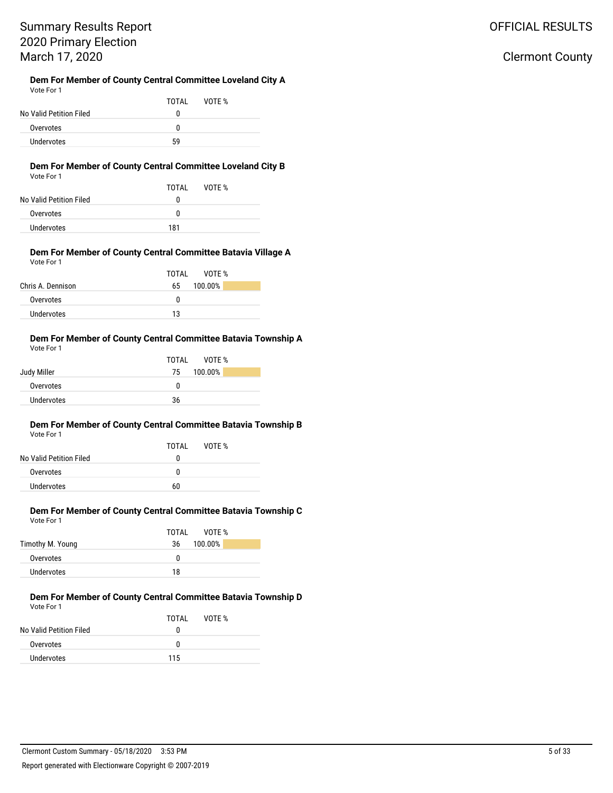# OFFICIAL RESULTS

### Clermont County

#### **Dem For Member of County Central Committee Loveland City A** Vote For 1

|                         | TOTAI | VOTF % |  |
|-------------------------|-------|--------|--|
| No Valid Petition Filed | 0     |        |  |
| Overvotes               | n     |        |  |
| <b>Undervotes</b>       | 59    |        |  |

#### **Dem For Member of County Central Committee Loveland City B** Vote For 1

| No Valid Petition Filed | TOTAL<br>0 | VOTF % |
|-------------------------|------------|--------|
| Overvotes               | o          |        |
| Undervotes              | 181        |        |

#### **Dem For Member of County Central Committee Batavia Village A** Vote For 1

|                   | TOTAI<br>VOTF % |
|-------------------|-----------------|
| Chris A. Dennison | 100.00%<br>65   |
| Overvotes         | 0               |
| Undervotes        | 13              |

#### **Dem For Member of County Central Committee Batavia Township A** Vote For 1

|                   | TOTAL<br>VOTE % |
|-------------------|-----------------|
| Judy Miller       | 100.00%<br>75   |
| Overvotes         | 0               |
| <b>Undervotes</b> | 36              |

#### **Dem For Member of County Central Committee Batavia Township B** Vote For 1

| No Valid Petition Filed | TOTAI<br>0 | VOTF % |  |
|-------------------------|------------|--------|--|
| Overvotes               | n          |        |  |
| Undervotes              | 60         |        |  |

### **Dem For Member of County Central Committee Batavia Township C** Vote For 1

|                  | VOTF %<br>TOTAL |
|------------------|-----------------|
| Timothy M. Young | 100.00%<br>36   |
| Overvotes        | O               |
| Undervotes       | 18              |

#### **Dem For Member of County Central Committee Batavia Township D** Vote For 1

|                         | TOTAI       | VOTF % |
|-------------------------|-------------|--------|
| No Valid Petition Filed | $^{\prime}$ |        |
| Overvotes               | n           |        |
| Undervotes              | 115         |        |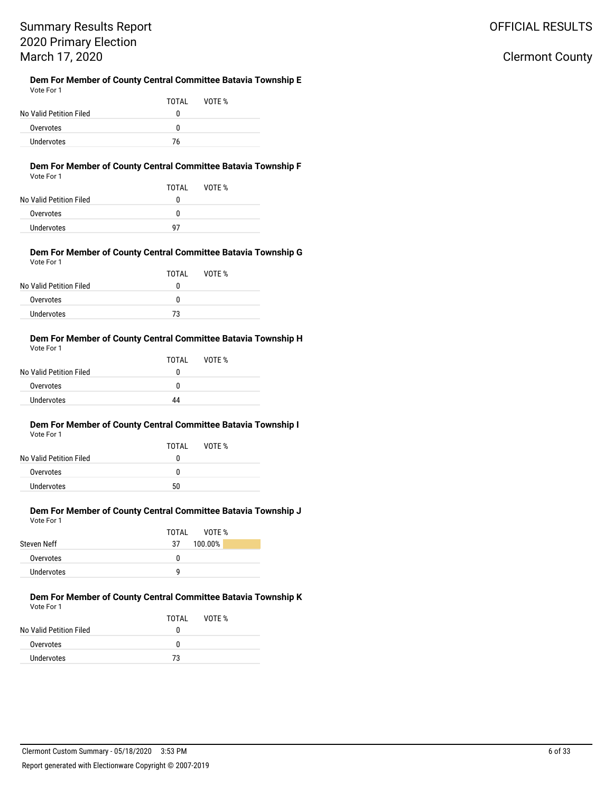# Summary Results Report 2020 Primary Election March 17, 2020

#### **Dem For Member of County Central Committee Batavia Township E** Vote For 1

|                         | TOTAL | VOTF % |
|-------------------------|-------|--------|
| No Valid Petition Filed | O     |        |
| Overvotes               | n     |        |
| Undervotes              | 76    |        |

#### **Dem For Member of County Central Committee Batavia Township F** Vote For 1

| VOTE % |
|--------|
|        |
|        |

| 10 1911 - 1911 - 1921 - 1931 - 1932 - 1933 - 1934 - 1935 - 1937 - 1938 - 1938 - 1938 - 1938 - 1938 - 1938 - 19 | u  |  |
|----------------------------------------------------------------------------------------------------------------|----|--|
| Overvotes                                                                                                      |    |  |
| Undervotes                                                                                                     | 07 |  |

#### **Dem For Member of County Central Committee Batavia Township G** Vote For 1

| TOTAL | VOTF % |  |
|-------|--------|--|
| 0     |        |  |
| 0     |        |  |
| 73    |        |  |
|       |        |  |

#### **Dem For Member of County Central Committee Batavia Township H** Vote For 1

| .                       |       |        |  |
|-------------------------|-------|--------|--|
|                         | TOTAL | VOTF % |  |
| No Valid Petition Filed | o     |        |  |
| Overvotes               | n     |        |  |
| Undervotes              | 44    |        |  |
|                         |       |        |  |

#### **Dem For Member of County Central Committee Batavia Township I** Vote For 1

| No Valid Petition Filed | TOTAL<br>0 | VOTF % |  |
|-------------------------|------------|--------|--|
| Overvotes               | 0          |        |  |
| Undervotes              | 50         |        |  |

### **Dem For Member of County Central Committee Batavia Township J** Vote For 1

|             | TOTAL<br>VOTF % |
|-------------|-----------------|
| Steven Neff | 100.00%<br>37   |
| Overvotes   | 0               |
| Undervotes  | q               |

#### **Dem For Member of County Central Committee Batavia Township K** Vote For 1

|                         | TOTAI | VOTF % |
|-------------------------|-------|--------|
| No Valid Petition Filed | n     |        |
| Overvotes               | n     |        |
| Undervotes              | 73    |        |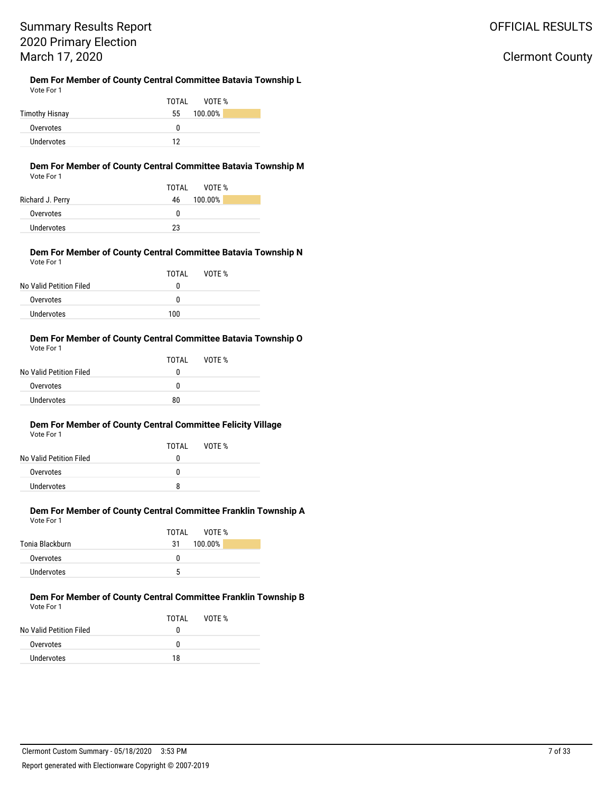# Summary Results Report 2020 Primary Election March 17, 2020

# **Dem For Member of County Central Committee Batavia Township L**

|            | <b>Define of Michael Of Obanty Octivial Commutes Datavia Formom</b> |  |
|------------|---------------------------------------------------------------------|--|
| Vote For 1 |                                                                     |  |

|                | VOTF %<br>TOTAL |
|----------------|-----------------|
| Timothy Hisnay | 100.00%<br>55   |
| Overvotes      | n               |
| Undervotes     | 12              |

#### **Dem For Member of County Central Committee Batavia Township M** Vote For 1

|                   | TOTAL<br>VOTF % |
|-------------------|-----------------|
| Richard J. Perry  | 100.00%<br>46   |
| Overvotes         | 0               |
| <b>Undervotes</b> | つつ              |

#### **Dem For Member of County Central Committee Batavia Township N** Vote For 1

| TOTAI | VOTF % |  |
|-------|--------|--|
| 0     |        |  |
| 0     |        |  |
| 100   |        |  |
|       |        |  |

#### **Dem For Member of County Central Committee Batavia Township O** Vote For 1

| .                       |       |        |  |
|-------------------------|-------|--------|--|
|                         | TOTAI | VOTE % |  |
| No Valid Petition Filed | 0     |        |  |
| Overvotes               | o     |        |  |
| Undervotes              | 80    |        |  |
|                         |       |        |  |

#### **Dem For Member of County Central Committee Felicity Village** Vote For 1

| No Valid Petition Filed | TOTAI<br>0 | VOTF % |  |
|-------------------------|------------|--------|--|
| Overvotes               | n          |        |  |
| Undervotes              | 8          |        |  |
|                         |            |        |  |

#### **Dem For Member of County Central Committee Franklin Township A** Vote For 1

|                 | TOTAL<br>VOTF % |
|-----------------|-----------------|
| Tonia Blackburn | 100.00%<br>31   |
| Overvotes       | 0               |
| Undervotes      | 5               |

#### **Dem For Member of County Central Committee Franklin Township B** Vote For 1

|                         | TOTAL | VOTF % |
|-------------------------|-------|--------|
| No Valid Petition Filed | o     |        |
| Overvotes               | o     |        |
| Undervotes              | 18    |        |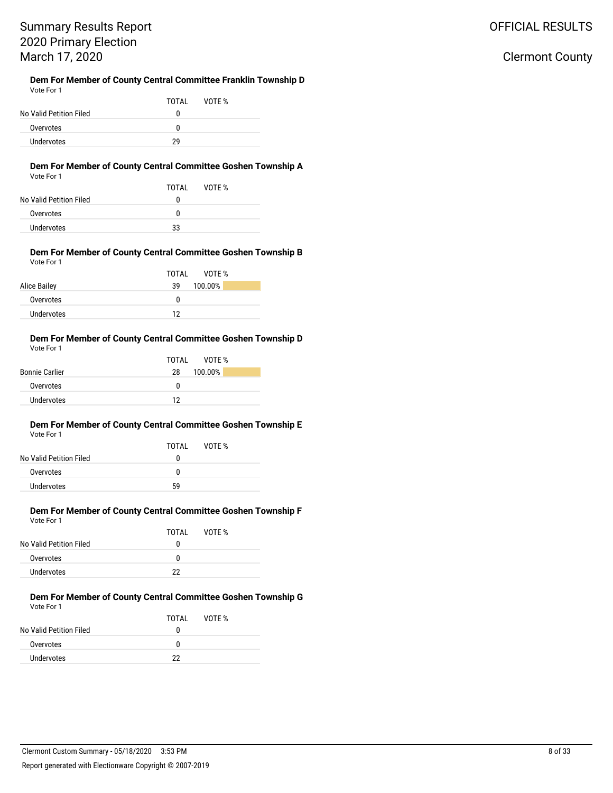# Summary Results Report 2020 Primary Election March 17, 2020

#### **Dem For Member of County Central Committee Franklin Township D** Vote For 1

|                         | TOTAI | VOTF % |  |
|-------------------------|-------|--------|--|
| No Valid Petition Filed |       |        |  |
| Overvotes               | n     |        |  |
| Undervotes              | 20    |        |  |

### **Dem For Member of County Central Committee Goshen Township A**

| Vote For 1 |  |
|------------|--|
|------------|--|

| .                       |       |        |
|-------------------------|-------|--------|
|                         | TOTAI | VOTF % |
| No Valid Petition Filed | o     |        |
| Overvotes               | o     |        |
| <b>Undervotes</b>       | 33    |        |

#### **Dem For Member of County Central Committee Goshen Township B** Vote For 1

|              | TOTAL<br>VOTE % |
|--------------|-----------------|
| Alice Bailey | 100.00%<br>39   |
| Overvotes    | 0               |
| Undervotes   | 12              |

#### **Dem For Member of County Central Committee Goshen Township D** Vote For 1

|                       | TOTAI<br>VOTF % |
|-----------------------|-----------------|
| <b>Bonnie Carlier</b> | 100.00%<br>28   |
| Overvotes             | n               |
| Undervotes            | 12              |

#### **Dem For Member of County Central Committee Goshen Township E** Vote For 1

| No Valid Petition Filed | TOTAI<br>o | VOTF % |  |
|-------------------------|------------|--------|--|
| Overvotes               | n          |        |  |
| Undervotes              | .59        |        |  |

#### **Dem For Member of County Central Committee Goshen Township F** Vote For 1

|                         | TOTAL | VOTF % |
|-------------------------|-------|--------|
| No Valid Petition Filed | 0     |        |
| Overvotes               | 0     |        |
| Undervotes              | 22    |        |

#### **Dem For Member of County Central Committee Goshen Township G** Vote For 1

|                         | TOTAI | VOTE % |
|-------------------------|-------|--------|
| No Valid Petition Filed | o     |        |
| Overvotes               | o     |        |
| Undervotes              | 22    |        |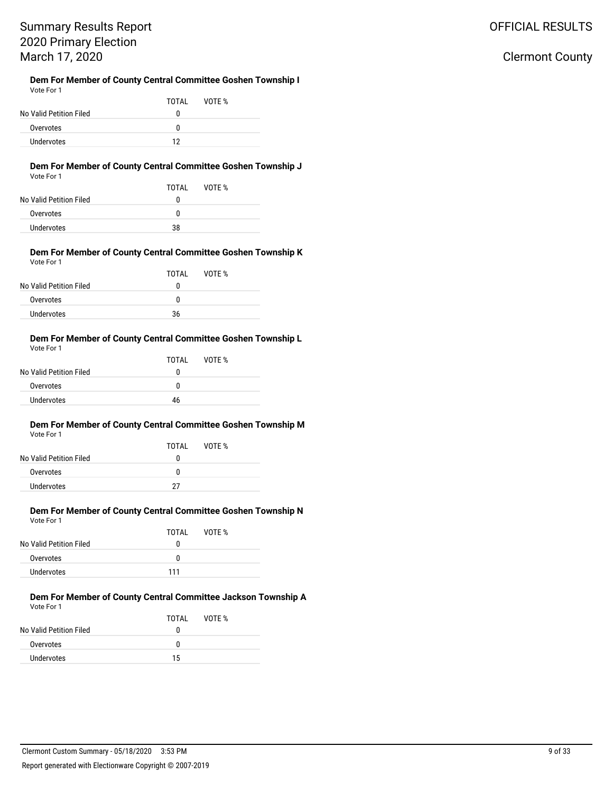### Clermont County

#### **Dem For Member of County Central Committee Goshen Township I** Vote For 1

|                         | TOTAL | VOTF % |  |
|-------------------------|-------|--------|--|
| No Valid Petition Filed |       |        |  |
| Overvotes               | n     |        |  |
| Undervotes              | 12    |        |  |

### **Dem For Member of County Central Committee Goshen Township J**

| Vote For 1 |  |  |
|------------|--|--|
|            |  |  |

|                         | TOTAL | VOTF % |
|-------------------------|-------|--------|
| No Valid Petition Filed | o     |        |
| Overvotes               | o     |        |
| Undervotes              | 38    |        |

#### **Dem For Member of County Central Committee Goshen Township K** Vote For 1

| TOTAL | VOTE % |  |
|-------|--------|--|
| 0     |        |  |
| 0     |        |  |
| 36    |        |  |
|       |        |  |

#### **Dem For Member of County Central Committee Goshen Township L** Vote For 1

|                         | TOTAL | VOTE % |  |
|-------------------------|-------|--------|--|
| No Valid Petition Filed | o     |        |  |
| Overvotes               | 0     |        |  |
| Undervotes              | 46    |        |  |
|                         |       |        |  |

#### **Dem For Member of County Central Committee Goshen Township M** Vote For 1

| No Valid Petition Filed | TOTAI<br>$^{(1)}$ | VOTF % |  |
|-------------------------|-------------------|--------|--|
| Overvotes               | n                 |        |  |
| Undervotes              | 27                |        |  |

#### **Dem For Member of County Central Committee Goshen Township N** Vote For 1

|                         | TOTAI | VOTE % |
|-------------------------|-------|--------|
| No Valid Petition Filed | O     |        |
| Overvotes               | O     |        |
| Undervotes              | 111   |        |

#### **Dem For Member of County Central Committee Jackson Township A** Vote For 1

|                         | TOTAL | VOTF % |
|-------------------------|-------|--------|
| No Valid Petition Filed | o     |        |
| Overvotes               | n     |        |
| Undervotes              | 15    |        |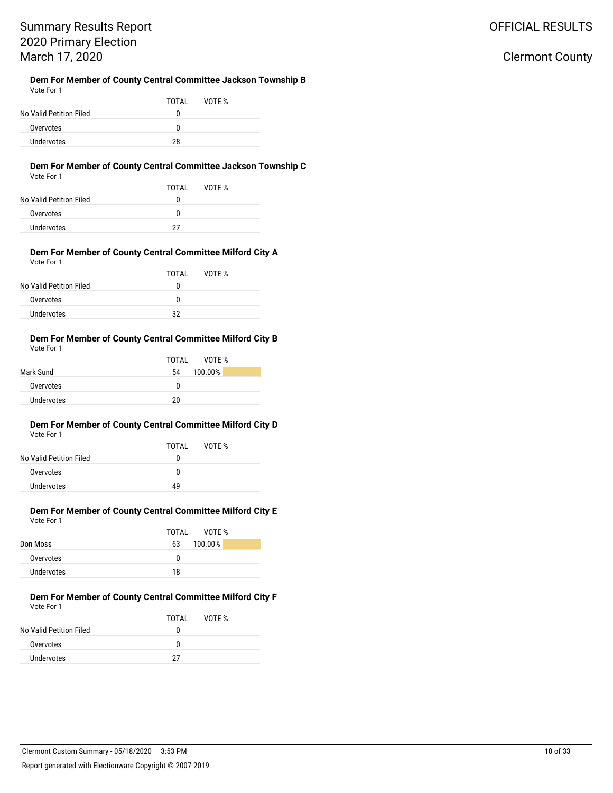#### **Dem For Member of County Central Committee Jackson Township B** Vote For 1

|                         | TOTAI | VOTF % |  |
|-------------------------|-------|--------|--|
| No Valid Petition Filed | n     |        |  |
| Overvotes               | n     |        |  |
| <b>Undervotes</b>       | 28    |        |  |

### **Dem For Member of County Central Committee Jackson Township C**

| Vote For 1 |  |  |
|------------|--|--|
|            |  |  |

|                         | TOTAL | VOTF % |
|-------------------------|-------|--------|
| No Valid Petition Filed | O     |        |
| Overvotes               | n     |        |
| <b>Undervotes</b>       | דר    |        |

#### **Dem For Member of County Central Committee Milford City A** Vote For 1

|                         | TOTAL | VOTF % |
|-------------------------|-------|--------|
| No Valid Petition Filed | 0     |        |
| Overvotes               | 0     |        |
| Undervotes              | 32    |        |

#### **Dem For Member of County Central Committee Milford City B** Vote For 1

|            | VOTF %<br>TOTAI |
|------------|-----------------|
| Mark Sund  | 100.00%<br>54   |
| Overvotes  | n               |
| Undervotes | 20              |

#### **Dem For Member of County Central Committee Milford City D** Vote For 1

|                         | TOTAI | VOTF % |  |
|-------------------------|-------|--------|--|
| No Valid Petition Filed | 0     |        |  |
| Overvotes               | 0     |        |  |
| Undervotes              | 49    |        |  |
|                         |       |        |  |

### **Dem For Member of County Central Committee Milford City E** Vote For 1

|            | VOTF %<br>TOTAI |
|------------|-----------------|
| Don Moss   | 100.00%<br>63   |
| Overvotes  | 0               |
| Undervotes | 18              |

#### **Dem For Member of County Central Committee Milford City F** Vote For 1

|                         | TOTAI | VOTF % |
|-------------------------|-------|--------|
| No Valid Petition Filed | o     |        |
| Overvotes               | o     |        |
| Undervotes              | 27    |        |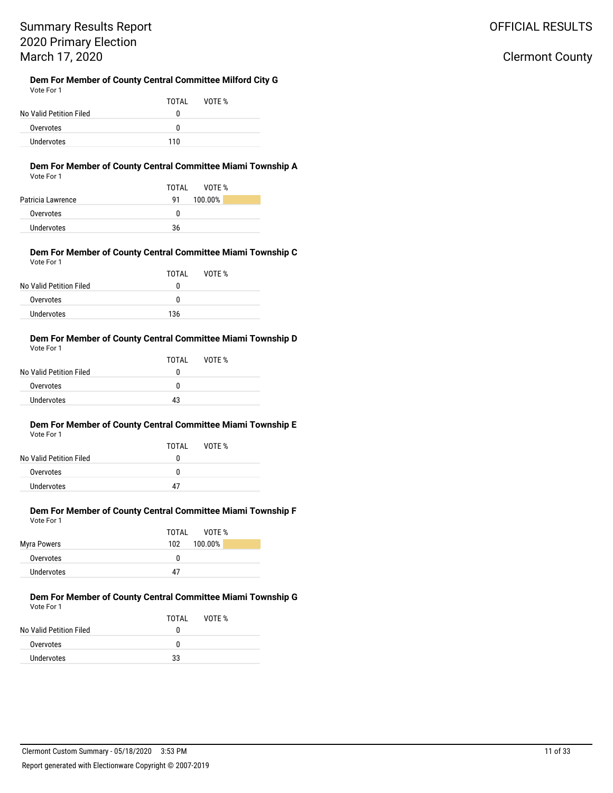### OFFICIAL RESULTS

### Clermont County

#### **Dem For Member of County Central Committee Milford City G** Vote For 1

| .                       |       |        |  |
|-------------------------|-------|--------|--|
|                         | TOTAI | VOTF % |  |
| No Valid Petition Filed | n     |        |  |
| Overvotes               | n     |        |  |
| <b>Undervotes</b>       | 110   |        |  |

#### **Dem For Member of County Central Committee Miami Township A** Vote For 1

|                   | VOTF %<br>TOTAI |
|-------------------|-----------------|
| Patricia Lawrence | 100.00%<br>91   |
| Overvotes         | n               |
| <b>Undervotes</b> | 36              |

#### **Dem For Member of County Central Committee Miami Township C** Vote For 1

|                         | TOTAL | VOTE % |  |
|-------------------------|-------|--------|--|
| No Valid Petition Filed | 0     |        |  |
| Overvotes               | 0     |        |  |
| Undervotes              | 136   |        |  |

#### **Dem For Member of County Central Committee Miami Township D** Vote For 1

|                         | TOTAI | VOTE % |  |
|-------------------------|-------|--------|--|
| No Valid Petition Filed | n     |        |  |
| Overvotes               | n     |        |  |
| Undervotes              | 43    |        |  |
|                         |       |        |  |

#### **Dem For Member of County Central Committee Miami Township E** Vote For 1

|                         | TOTAI | VOTF % |  |
|-------------------------|-------|--------|--|
| No Valid Petition Filed | 0     |        |  |
| Overvotes               | n     |        |  |
| Undervotes              | Δ7    |        |  |

#### **Dem For Member of County Central Committee Miami Township F** Vote For 1

|             | VOTF %<br>TOTAL |
|-------------|-----------------|
| Myra Powers | 100.00%<br>102  |
| Overvotes   | 0               |
| Undervotes  | 47              |

#### **Dem For Member of County Central Committee Miami Township G** Vote For 1

|                         | TOTAI | VOTF % |
|-------------------------|-------|--------|
| No Valid Petition Filed | o     |        |
| Overvotes               | n     |        |
| Undervotes              | 33    |        |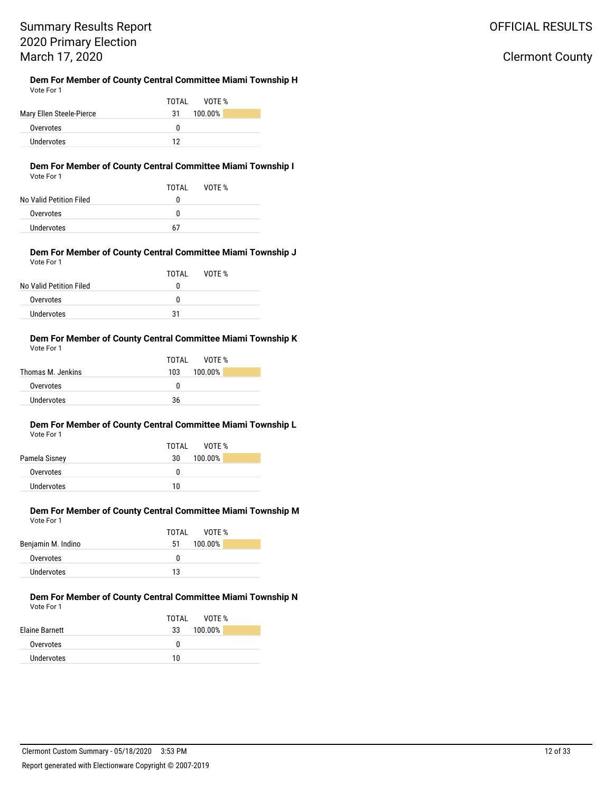### OFFICIAL RESULTS

### Clermont County

#### **Dem For Member of County Central Committee Miami Township H** Vote For 1

|                          | TOTAI<br>VOTF % |
|--------------------------|-----------------|
| Mary Ellen Steele-Pierce | 100.00%<br>31   |
| Overvotes                | n               |
| Undervotes               | 12              |

### **Dem For Member of County Central Committee Miami Township I**

| Vote For 1 |  |  |
|------------|--|--|
|------------|--|--|

|                         | TOTAL | VOTF % |  |
|-------------------------|-------|--------|--|
| No Valid Petition Filed | 0     |        |  |
| Overvotes               | 0     |        |  |
| Undervotes              | 67    |        |  |

#### **Dem For Member of County Central Committee Miami Township J** Vote For 1

|                         | TOTAI | VOTF % |  |
|-------------------------|-------|--------|--|
| No Valid Petition Filed | 0     |        |  |
| Overvotes               | n     |        |  |
| Undervotes              | 31    |        |  |

#### **Dem For Member of County Central Committee Miami Township K** Vote For 1

|                   | TOTAI<br>VOTF % |
|-------------------|-----------------|
| Thomas M. Jenkins | 103 100.00%     |
| Overvotes         | n               |
| Undervotes        | 36              |

#### **Dem For Member of County Central Committee Miami Township L** Vote For 1

|               | TOTAL<br>VOTF % |
|---------------|-----------------|
| Pamela Sisney | 100.00%<br>30   |
| Overvotes     | n               |
| Undervotes    | 10              |

### **Dem For Member of County Central Committee Miami Township M** Vote For 1

|                    | TOTAI<br>VOTF % |  |
|--------------------|-----------------|--|
| Benjamin M. Indino | 100.00%<br>51   |  |
| Overvotes          | n               |  |
| Undervotes         | 13              |  |

#### **Dem For Member of County Central Committee Miami Township N** Vote For 1

|                       | TOTAI<br>VOTF % |
|-----------------------|-----------------|
| <b>Elaine Barnett</b> | 100.00%<br>33   |
| Overvotes             | n               |
| Undervotes            | 10              |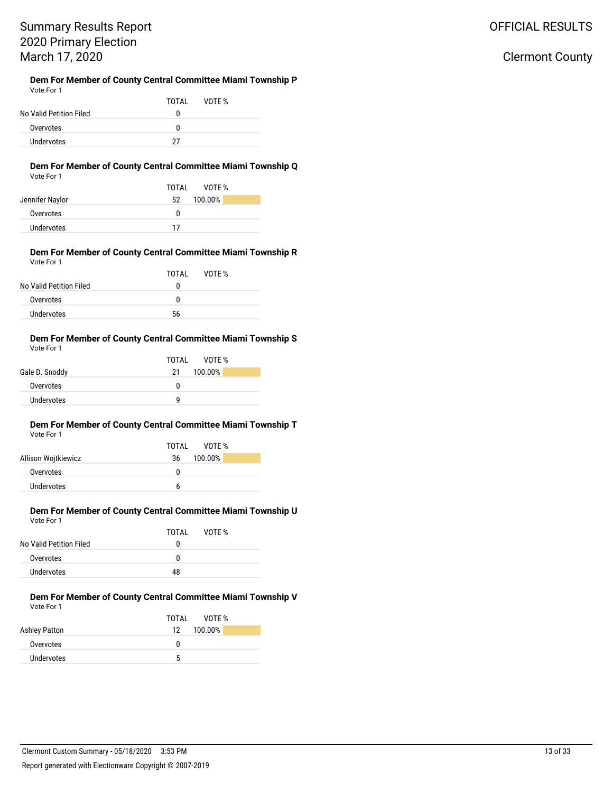### OFFICIAL RESULTS

### Clermont County

#### **Dem For Member of County Central Committee Miami Township P** Vote For 1

|                         | TOTAI | VOTF % |  |
|-------------------------|-------|--------|--|
| No Valid Petition Filed |       |        |  |
| Overvotes               | n     |        |  |
| Undervotes              | 27    |        |  |

#### **Dem For Member of County Central Committee Miami Township Q** Vote For 1

|                 | VOTF %<br>TOTAI |
|-----------------|-----------------|
| Jennifer Naylor | 100.00%<br>52   |
| Overvotes       | 0               |
| Undervotes      | 17              |

#### **Dem For Member of County Central Committee Miami Township R** Vote For 1

|                         | TOTAI | VOTF % |
|-------------------------|-------|--------|
| No Valid Petition Filed | 0     |        |
| Overvotes               | 0     |        |
| Undervotes              | 56    |        |

#### **Dem For Member of County Central Committee Miami Township S** Vote For 1

|                | TOTAL<br>VOTF % |
|----------------|-----------------|
| Gale D. Snoddy | 100.00%<br>21   |
| Overvotes      | n               |
| Undervotes     | a               |

#### **Dem For Member of County Central Committee Miami Township T** Vote For 1

| VOTE %<br>TOTAI |  |
|-----------------|--|
| 100.00%<br>36   |  |
| O               |  |
|                 |  |
|                 |  |

#### **Dem For Member of County Central Committee Miami Township U** Vote For 1

|                         | TOTAL | VOTE % |  |
|-------------------------|-------|--------|--|
| No Valid Petition Filed | 0     |        |  |
| Overvotes               | o     |        |  |
| Undervotes              | 48    |        |  |

#### **Dem For Member of County Central Committee Miami Township V** Vote For 1

|                      | TOTAI<br>VOTF % |
|----------------------|-----------------|
| <b>Ashley Patton</b> | 100.00%<br>12   |
| Overvotes            | O               |
| Undervotes           | 5               |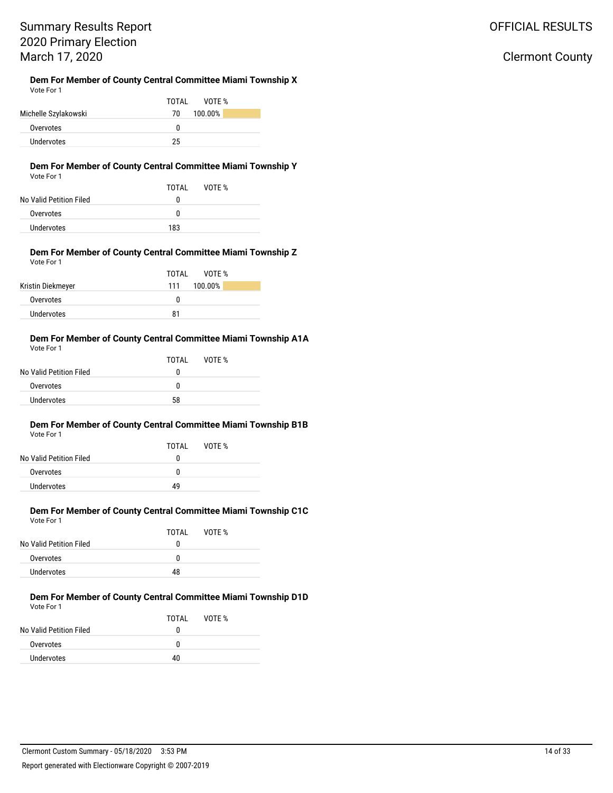### OFFICIAL RESULTS

### Clermont County

#### **Dem For Member of County Central Committee Miami Township X** Vote For 1

|                      | TOTAI<br>VOTF % |
|----------------------|-----------------|
| Michelle Szylakowski | 100.00%<br>70   |
| Overvotes            | o               |
| Undervotes           | 25              |

### **Dem For Member of County Central Committee Miami Township Y**

| Vote For 1 |  |  |
|------------|--|--|
|            |  |  |

|                         | TOTAI | VOTF % |
|-------------------------|-------|--------|
| No Valid Petition Filed | 0     |        |
| Overvotes               | o     |        |
| Undervotes              | 183   |        |

#### **Dem For Member of County Central Committee Miami Township Z** Vote For 1

|                   | TOTAI<br>VOTF %   |
|-------------------|-------------------|
| Kristin Diekmeyer | 100.00%<br>111    |
| Overvotes         | $^{\prime\prime}$ |
| Undervotes        | 81                |

#### **Dem For Member of County Central Committee Miami Township A1A** Vote For 1

|                         | TOTAI | VOTE % |  |
|-------------------------|-------|--------|--|
| No Valid Petition Filed | o     |        |  |
| Overvotes               | n     |        |  |
| Undervotes              | 58    |        |  |
|                         |       |        |  |

#### **Dem For Member of County Central Committee Miami Township B1B** Vote For 1

| TOTAI | VOTF % |  |
|-------|--------|--|
| 0     |        |  |
| 0     |        |  |
| 49    |        |  |
|       |        |  |

#### **Dem For Member of County Central Committee Miami Township C1C** Vote For 1

|                         | TOTAL | VOTE % |
|-------------------------|-------|--------|
| No Valid Petition Filed | o     |        |
| Overvotes               | n     |        |
| Undervotes              | 48    |        |

#### **Dem For Member of County Central Committee Miami Township D1D** Vote For 1

|                         | TOTAI | VOTE % |
|-------------------------|-------|--------|
| No Valid Petition Filed | o     |        |
| Overvotes               | n     |        |
| Undervotes              | 40    |        |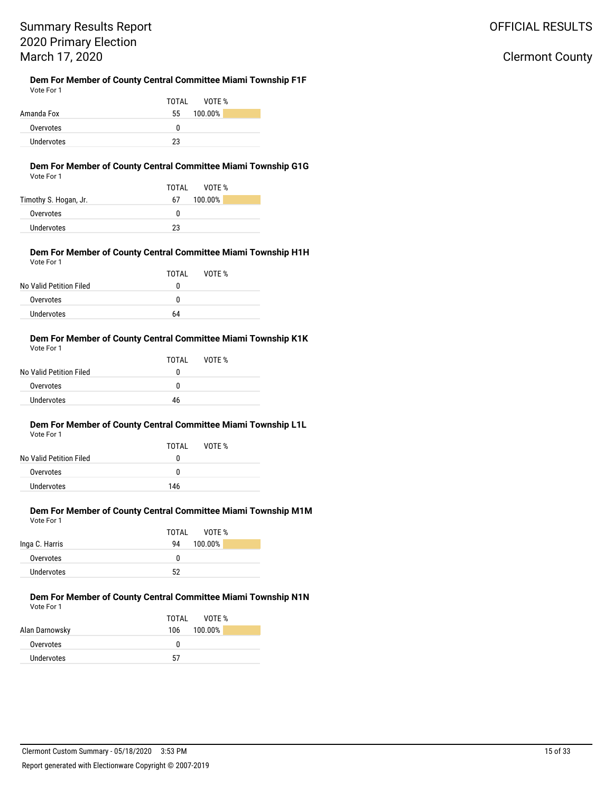# Summary Results Report 2020 Primary Election March 17, 2020

#### **Dem For Member of County Central Committee Miami Township F1F** Vote For 1

|            | VOTF %<br>TOTAL |
|------------|-----------------|
| Amanda Fox | 100.00%<br>55   |
| Overvotes  | n               |
| Undervotes | 23              |

#### **Dem For Member of County Central Committee Miami Township G1G** Vote For 1

#### **Dem For Member of County Central Committee Miami Township H1H** Vote For 1

| .                       |       |        |  |
|-------------------------|-------|--------|--|
|                         | TOTAI | VOTF % |  |
| No Valid Petition Filed | O     |        |  |
| Overvotes               | o     |        |  |
| Undervotes              | 64    |        |  |

#### **Dem For Member of County Central Committee Miami Township K1K** Vote For 1

| .                       |       |        |  |
|-------------------------|-------|--------|--|
|                         | TOTAI | VOTF % |  |
| No Valid Petition Filed | 0     |        |  |
| Overvotes               | 0     |        |  |
| Undervotes              | 46    |        |  |
|                         |       |        |  |

### **Dem For Member of County Central Committee Miami Township L1L**

| Vote For 1 |  |
|------------|--|
|            |  |

| No Valid Petition Filed | TOTAI<br>0 | VOTF % |  |
|-------------------------|------------|--------|--|
| Overvotes               | n          |        |  |
| Undervotes              | 146        |        |  |
|                         |            |        |  |

#### **Dem For Member of County Central Committee Miami Township M1M** Vote For 1

|                | TOTAL<br>VOTF % |
|----------------|-----------------|
| Inga C. Harris | 100.00%<br>94   |
| Overvotes      | 0               |
| Undervotes     | 52              |

#### **Dem For Member of County Central Committee Miami Township N1N** Vote For 1

|                | TOTAL<br>VOTF % |
|----------------|-----------------|
| Alan Darnowsky | 100.00%<br>106  |
| Overvotes      | 0               |
| Undervotes     | 57              |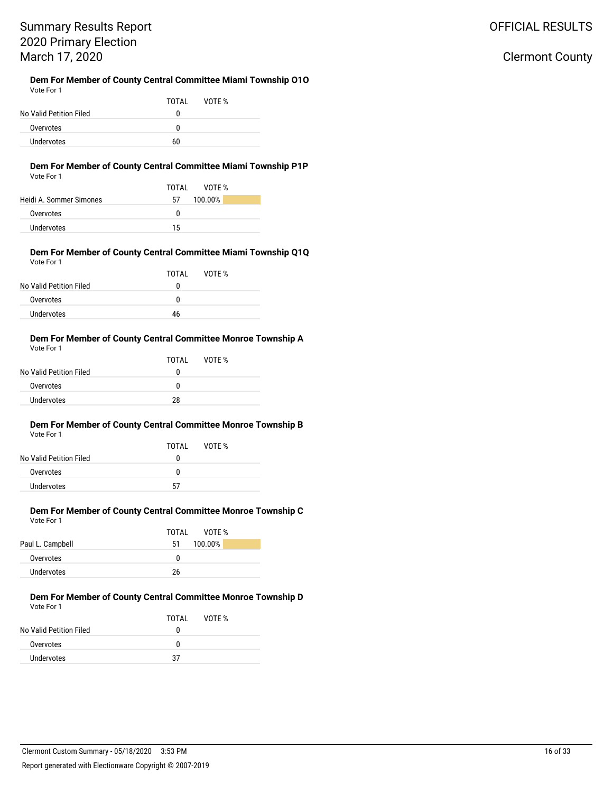### **Dem For Member of County Central Committee Miami Township O1O**

| Vote For 1              |    |              |  |
|-------------------------|----|--------------|--|
|                         |    | TOTAL VOTE % |  |
| No Valid Petition Filed | o  |              |  |
| Overvotes               | n  |              |  |
| Undervotes              | 60 |              |  |

### **Dem For Member of County Central Committee Miami Township P1P**

|                         | VOTF %<br>TOTAI |
|-------------------------|-----------------|
| Heidi A. Sommer Simones | 100.00%<br>57   |
| Overvotes               | n               |
| Undervotes              | 15              |

#### **Dem For Member of County Central Committee Miami Township Q1Q** Vote For 1

| VULCIUII                |       |        |  |
|-------------------------|-------|--------|--|
|                         | TOTAL | VOTE % |  |
| No Valid Petition Filed | 0     |        |  |
| Overvotes               | 0     |        |  |
| <b>Undervotes</b>       | 46    |        |  |

#### **Dem For Member of County Central Committee Monroe Township A** Vote For 1

| .                       |       |        |  |
|-------------------------|-------|--------|--|
|                         | TOTAL | VOTE % |  |
| No Valid Petition Filed | o     |        |  |
| Overvotes               | n     |        |  |
| Undervotes              | 28    |        |  |
|                         |       |        |  |

#### **Dem For Member of County Central Committee Monroe Township B** Vote For 1

| No Valid Petition Filed | TOTAI<br>O | VOTF % |  |
|-------------------------|------------|--------|--|
| Overvotes               | n          |        |  |
| Undervotes              | 57         |        |  |

#### **Dem For Member of County Central Committee Monroe Township C** Vote For 1

|                  | TOTAI<br>VOTF % |
|------------------|-----------------|
| Paul L. Campbell | 100.00%<br>51   |
| Overvotes        | 0               |
| Undervotes       | 26              |

#### **Dem For Member of County Central Committee Monroe Township D** Vote For 1

|                         | TOTAI | VOTF % |
|-------------------------|-------|--------|
| No Valid Petition Filed | O     |        |
| Overvotes               | O     |        |
| Undervotes              | 37    |        |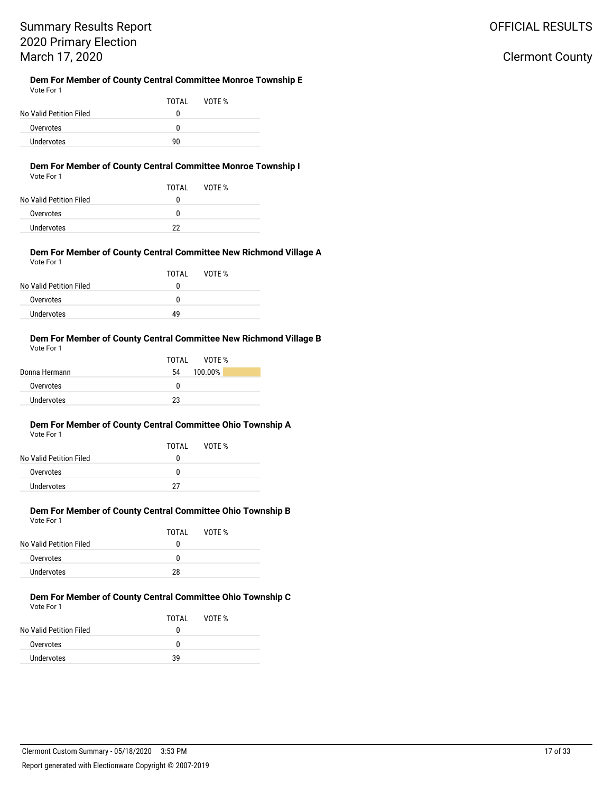# Summary Results Report 2020 Primary Election March 17, 2020

#### **Dem For Member of County Central Committee Monroe Township E** Vote For 1

|                         | TOTAI | VOTE % |  |
|-------------------------|-------|--------|--|
| No Valid Petition Filed | 0     |        |  |
| Overvotes               | O     |        |  |
| Undervotes              | 90    |        |  |

### **Dem For Member of County Central Committee Monroe Township I**

|  | Vote For 1 |  |
|--|------------|--|
|--|------------|--|

| .                       |       |        |
|-------------------------|-------|--------|
|                         | TOTAI | VOTF % |
| No Valid Petition Filed | 0     |        |
| Overvotes               | 0     |        |
| Undervotes              | າາ    |        |

#### **Dem For Member of County Central Committee New Richmond Village A** Vote For 1

| TOTAL | VOTF % |  |
|-------|--------|--|
| o     |        |  |
| n     |        |  |
| 49    |        |  |
|       |        |  |

#### **Dem For Member of County Central Committee New Richmond Village B** Vote For 1

|               | VOTF %<br>TOTAI |
|---------------|-----------------|
| Donna Hermann | 100.00%<br>54   |
| Overvotes     | 0               |
| Undervotes    | 23              |

#### **Dem For Member of County Central Committee Ohio Township A** Vote For 1

| <b>VULLET UI</b>        |       |        |  |
|-------------------------|-------|--------|--|
|                         | TOTAL | VOTE % |  |
| No Valid Petition Filed | o     |        |  |
| Overvotes               | n     |        |  |
| Undervotes              | 27    |        |  |

#### **Dem For Member of County Central Committee Ohio Township B** Vote For 1

|                         | TOTAL | VOTE % |
|-------------------------|-------|--------|
| No Valid Petition Filed | 0     |        |
| Overvotes               | 0     |        |
| Undervotes              | 28    |        |

#### **Dem For Member of County Central Committee Ohio Township C** Vote For 1

|                         | TOTAL | VOTF % |
|-------------------------|-------|--------|
| No Valid Petition Filed | 0     |        |
| Overvotes               | 0     |        |
| Undervotes              | 39    |        |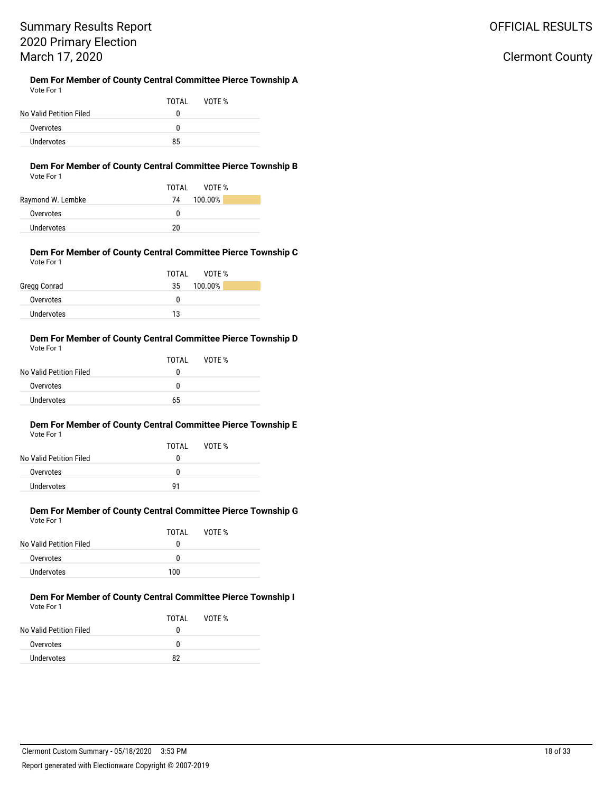### OFFICIAL RESULTS

### Clermont County

#### **Dem For Member of County Central Committee Pierce Township A** Vote For 1

|                         | TOTAL | VOTF % |
|-------------------------|-------|--------|
| No Valid Petition Filed | O     |        |
| Overvotes               | n     |        |
| Undervotes              | 85    |        |

#### **Dem For Member of County Central Committee Pierce Township B** Vote For 1

|                   | VOTF %<br>TOTAI<br>100.00%<br>74 |
|-------------------|----------------------------------|
| Raymond W. Lembke |                                  |
| Overvotes         | n                                |
| Undervotes        | 20                               |

#### **Dem For Member of County Central Committee Pierce Township C** Vote For 1

|              | TOTAI<br>VOTE % |
|--------------|-----------------|
| Gregg Conrad | 100.00%<br>35   |
| Overvotes    | 0               |
| Undervotes   | 13              |

#### **Dem For Member of County Central Committee Pierce Township D** Vote For 1

| No Valid Petition Filed | TOTAI<br>0 | VOTE % |
|-------------------------|------------|--------|
| Overvotes               | 0          |        |
| <b>Undervotes</b>       | 65         |        |

#### **Dem For Member of County Central Committee Pierce Township E** Vote For 1

| No Valid Petition Filed | TOTAI<br>0 | VOTE % |  |
|-------------------------|------------|--------|--|
| Overvotes               | n          |        |  |
| Undervotes              | <b>Q1</b>  |        |  |

#### **Dem For Member of County Central Committee Pierce Township G** Vote For 1

|                         | TOTAI | VOTE % |
|-------------------------|-------|--------|
| No Valid Petition Filed | 0     |        |
| Overvotes               | 0     |        |
| Undervotes              | 100   |        |

#### **Dem For Member of County Central Committee Pierce Township I** Vote For 1

|                         | TOTAL | VOTE % |
|-------------------------|-------|--------|
| No Valid Petition Filed | o     |        |
| Overvotes               | n     |        |
| Undervotes              | 82    |        |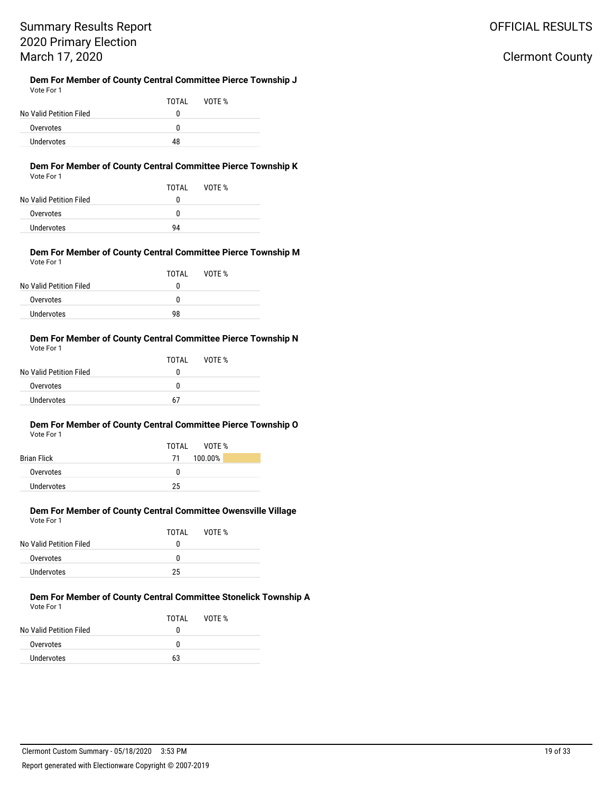### Clermont County

#### **Dem For Member of County Central Committee Pierce Township J** Vote For 1

|                         | TOTAL | VOTF % |  |
|-------------------------|-------|--------|--|
| No Valid Petition Filed | 0     |        |  |
| Overvotes               | 0     |        |  |
| <b>Undervotes</b>       | 48    |        |  |

#### **Dem For Member of County Central Committee Pierce Township K** Vote For 1

|                         | TOTAL | VOTE % |
|-------------------------|-------|--------|
| No Valid Petition Filed | o     |        |
| Overvotes               | O     |        |
| Undervotes              | 94    |        |

#### **Dem For Member of County Central Committee Pierce Township M** Vote For 1

|                         | TOTAI | VOTF % |
|-------------------------|-------|--------|
| No Valid Petition Filed | 0     |        |
| Overvotes               | 0     |        |
| Undervotes              | 98    |        |

#### **Dem For Member of County Central Committee Pierce Township N** Vote For 1

| .                       |       |        |  |
|-------------------------|-------|--------|--|
|                         | TOTAL | VOTE % |  |
| No Valid Petition Filed | o     |        |  |
| Overvotes               | n     |        |  |
| Undervotes              | 67    |        |  |
|                         |       |        |  |

#### **Dem For Member of County Central Committee Pierce Township O** Vote For 1

|                    | TOTAL VOTE %  |
|--------------------|---------------|
| <b>Brian Flick</b> | 100.00%<br>71 |
| Overvotes          | O             |
| Undervotes         | 25            |

#### **Dem For Member of County Central Committee Owensville Village** Vote For 1

|                         | TOTAI | VOTF % |
|-------------------------|-------|--------|
| No Valid Petition Filed | 0     |        |
| Overvotes               | 0     |        |
| Undervotes              | 25    |        |

#### **Dem For Member of County Central Committee Stonelick Township A** Vote For 1

|                         | TOTAI | VOTF % |
|-------------------------|-------|--------|
| No Valid Petition Filed | 0     |        |
| Overvotes               | n     |        |
| Undervotes              | 63    |        |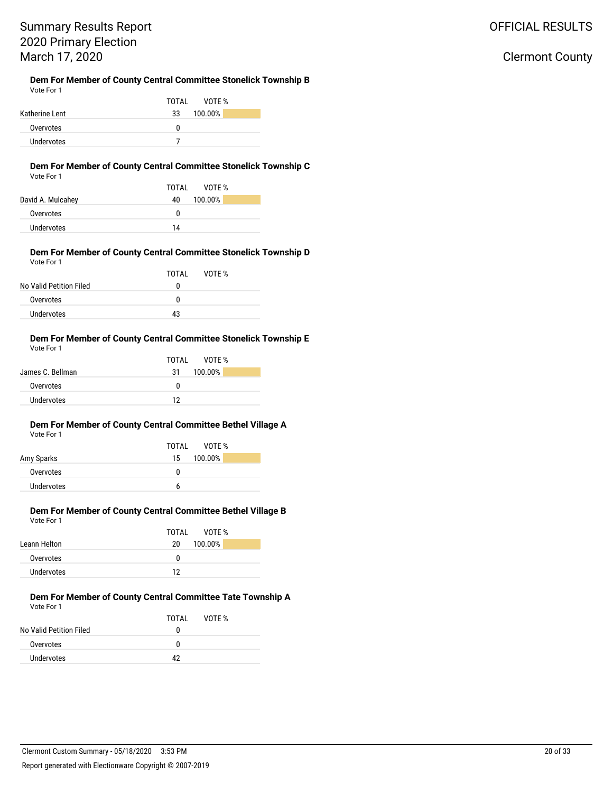Clermont County

# Summary Results Report 2020 Primary Election March 17, 2020

#### **Dem For Member of County Central Committee Stonelick Township B** Vote For 1

|                   | VOTF %<br>TOTAL |
|-------------------|-----------------|
| Katherine Lent    | 100.00%<br>33   |
| Overvotes         | n               |
| <b>Undervotes</b> |                 |

#### **Dem For Member of County Central Committee Stonelick Township C** Vote For 1

|                   | TOTAI<br>VOTF % |
|-------------------|-----------------|
| David A. Mulcahey | 100.00%<br>40   |
| Overvotes         | 0               |
| Undervotes        | 14              |

#### **Dem For Member of County Central Committee Stonelick Township D** Vote For 1

| TOTAL | VOTF % |  |
|-------|--------|--|
| 0     |        |  |
| 0     |        |  |
| 43    |        |  |
|       |        |  |

#### **Dem For Member of County Central Committee Stonelick Township E** Vote For 1

|                  | TOTAI<br>VOTF % |
|------------------|-----------------|
| James C. Bellman | 100.00%<br>31   |
| Overvotes        | n               |
| Undervotes       | 12              |

#### **Dem For Member of County Central Committee Bethel Village A** Vote For 1

|            | TOTAL VOTE %  |
|------------|---------------|
| Amy Sparks | 100.00%<br>15 |
| Overvotes  | n             |
| Undervotes | h             |

#### **Dem For Member of County Central Committee Bethel Village B** Vote For 1

|              | TOTAI | VOTF %  |
|--------------|-------|---------|
| Leann Helton | 20    | 100.00% |
| Overvotes    | 0     |         |
| Undervotes   | 12    |         |

#### **Dem For Member of County Central Committee Tate Township A** Vote For 1

|                         | TOTAI | VOTE % |
|-------------------------|-------|--------|
| No Valid Petition Filed | o     |        |
| Overvotes               | n     |        |
| Undervotes              | 12    |        |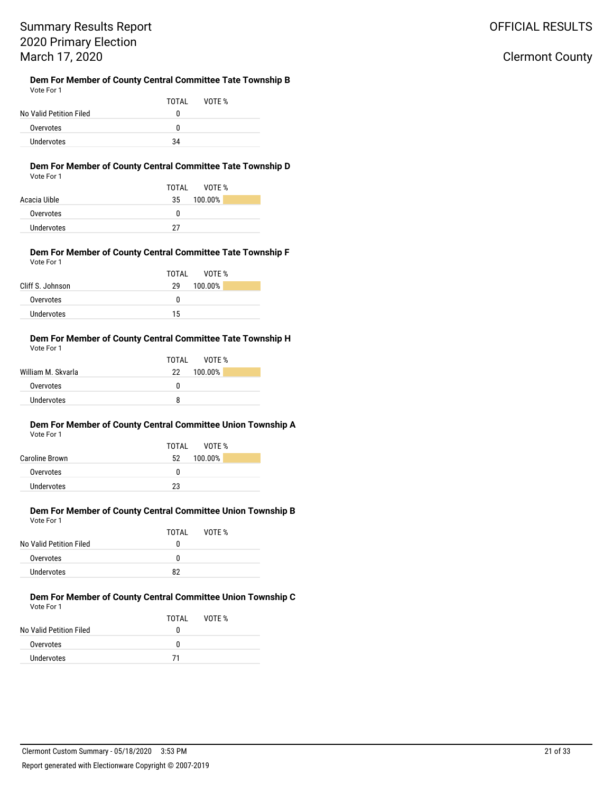Clermont County

# Summary Results Report 2020 Primary Election March 17, 2020

#### **Dem For Member of County Central Committee Tate Township B** Vote For 1

|                         | TOTAI | VOTF % |  |
|-------------------------|-------|--------|--|
| No Valid Petition Filed | n     |        |  |
| Overvotes               | n     |        |  |
| Undervotes              | 34    |        |  |

#### **Dem For Member of County Central Committee Tate Township D** Vote For 1

|              | VOTF %<br>TOTAI |
|--------------|-----------------|
| Acacia Uible | 100.00%<br>35   |
| Overvotes    | 0               |
| Undervotes   | דר              |

#### **Dem For Member of County Central Committee Tate Township F** Vote For 1

|                  | TOTAL<br>VOTF % |
|------------------|-----------------|
| Cliff S. Johnson | 100.00%<br>29   |
| Overvotes        | O               |
| Undervotes       | 15              |

#### **Dem For Member of County Central Committee Tate Township H** Vote For 1

|                    | TOTAI<br>VOTF % |
|--------------------|-----------------|
| William M. Skvarla | 22 100.00%      |
| Overvotes          | O               |
| Undervotes         | 8               |

#### **Dem For Member of County Central Committee Union Township A** Vote For 1

|                | VOTE %<br>TOTAI |  |
|----------------|-----------------|--|
| Caroline Brown | 100.00%<br>52   |  |
| Overvotes      | O               |  |
| Undervotes     | 23              |  |

### **Dem For Member of County Central Committee Union Township B** Vote For 1

|                         | TOTAL | VOTE % |  |
|-------------------------|-------|--------|--|
| No Valid Petition Filed | o     |        |  |
| Overvotes               | o     |        |  |
| Undervotes              | 82    |        |  |

#### **Dem For Member of County Central Committee Union Township C** Vote For 1

|                         | TOTAI | VOTF % |
|-------------------------|-------|--------|
| No Valid Petition Filed | n     |        |
| Overvotes               | n     |        |
| Undervotes              | 71    |        |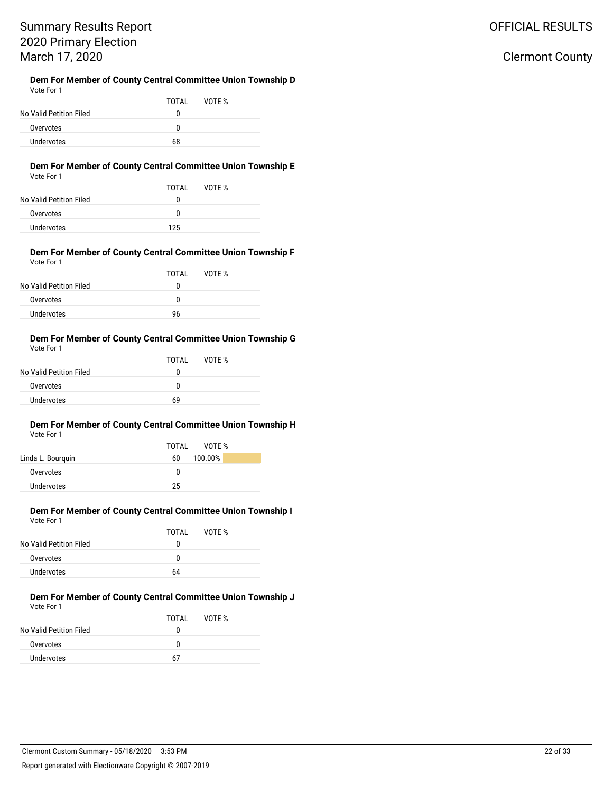### OFFICIAL RESULTS

### Clermont County

#### **Dem For Member of County Central Committee Union Township D** Vote For 1

| No Valid Petition Filed | TOTAL<br>0 | VOTE % |  |
|-------------------------|------------|--------|--|
| Overvotes               | 0          |        |  |
| Undervotes              | 68         |        |  |

#### **Dem For Member of County Central Committee Union Township E** Vote For 1

| No Valid Petition Filed | TOTAL<br>o | VOTE % |
|-------------------------|------------|--------|
| Overvotes               | O          |        |
| Undervotes              | 125        |        |

#### **Dem For Member of County Central Committee Union Township F** Vote For 1

|                         | TOTAI | VOTE % |  |
|-------------------------|-------|--------|--|
| No Valid Petition Filed | 0     |        |  |
| Overvotes               | 0     |        |  |
| Undervotes              | 96    |        |  |

#### **Dem For Member of County Central Committee Union Township G** Vote For 1

| No Valid Petition Filed | TOTAI<br>o | VOTF % |  |
|-------------------------|------------|--------|--|
| Overvotes               | n          |        |  |
| Undervotes              | 69         |        |  |

#### **Dem For Member of County Central Committee Union Township H** Vote For 1

|                   | TOTAI<br>VOTF % |
|-------------------|-----------------|
| Linda L. Bourquin | 100.00%<br>60   |
| Overvotes         | n               |
| Undervotes        | 25              |
|                   |                 |

#### **Dem For Member of County Central Committee Union Township I** Vote For 1

|                         | TOTAI | VOTF % |
|-------------------------|-------|--------|
| No Valid Petition Filed | 0     |        |
| Overvotes               | 0     |        |
| Undervotes              | 64    |        |

#### **Dem For Member of County Central Committee Union Township J** Vote For 1

|                         | TOTAL | VOTE % |
|-------------------------|-------|--------|
| No Valid Petition Filed | o     |        |
| Overvotes               | n     |        |
| Undervotes              | 67    |        |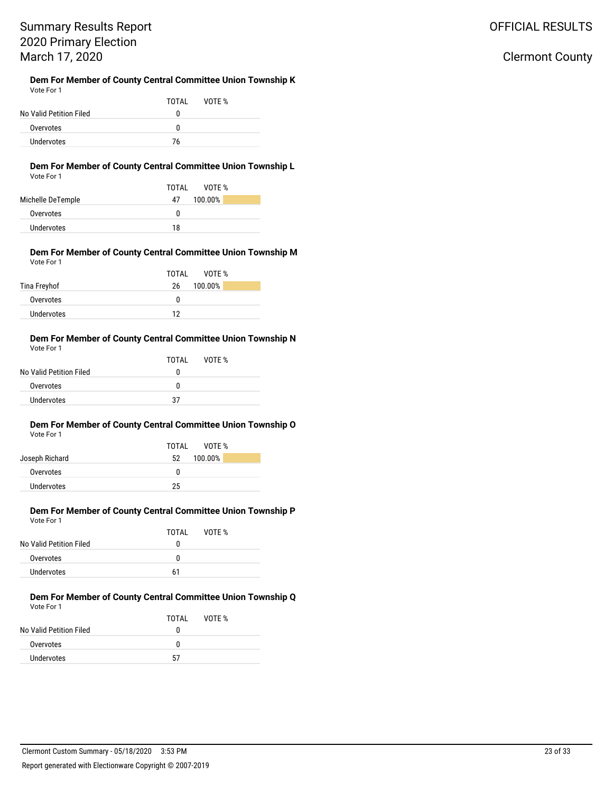# Summary Results Report 2020 Primary Election March 17, 2020

#### **Dem For Member of County Central Committee Union Township K** Vote For 1

| .                       |       |        |  |
|-------------------------|-------|--------|--|
|                         | TOTAI | VOTF % |  |
| No Valid Petition Filed | 0     |        |  |
| Overvotes               | O     |        |  |
| Undervotes              | 76    |        |  |

### **Dem For Member of County Central Committee Union Township L**

| Vote For 1 |  |
|------------|--|
|------------|--|

|                   | VOTF %<br>TOTAI |
|-------------------|-----------------|
| Michelle DeTemple | 100.00%<br>47   |
| Overvotes         | o               |
| Undervotes        | 18              |

#### **Dem For Member of County Central Committee Union Township M** Vote For 1

|              | TOTAL<br>VOTF % |
|--------------|-----------------|
| Tina Freyhof | 100.00%<br>26   |
| Overvotes    | O               |
| Undervotes   | 12              |

#### **Dem For Member of County Central Committee Union Township N** Vote For 1

|                         | TOTAL | VOTF % |  |
|-------------------------|-------|--------|--|
| No Valid Petition Filed | o     |        |  |
| Overvotes               | n     |        |  |
| Undervotes              | 37    |        |  |

#### **Dem For Member of County Central Committee Union Township O** Vote For 1

| TOTAI<br>VOTF % |
|-----------------|
| 100.00%<br>52   |
| n               |
| 25              |
|                 |

### **Dem For Member of County Central Committee Union Township P** Vote For 1

|                         | TOTAI | VOTE % |  |
|-------------------------|-------|--------|--|
| No Valid Petition Filed | 0     |        |  |
| Overvotes               | n     |        |  |
| Undervotes              | 61    |        |  |

#### **Dem For Member of County Central Committee Union Township Q** Vote For 1

|                         | TOTAL | VOTF % |
|-------------------------|-------|--------|
| No Valid Petition Filed | n     |        |
| Overvotes               | n     |        |
| Undervotes              | 57    |        |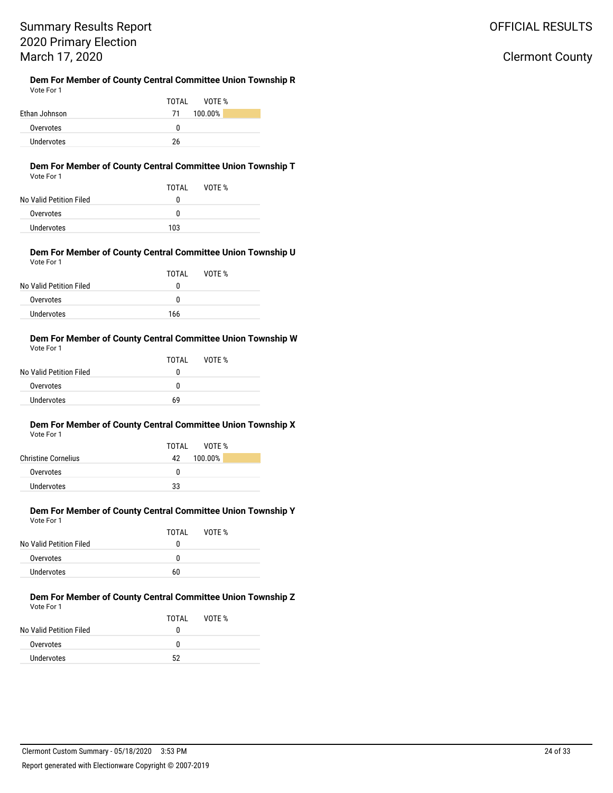## OFFICIAL RESULTS

### Clermont County

#### **Dem For Member of County Central Committee Union Township R** Vote For 1

|               | VOTE %<br>TOTAL |
|---------------|-----------------|
| Ethan Johnson | 100.00%<br>71   |
| Overvotes     | O               |
| Undervotes    | 26              |

#### **Dem For Member of County Central Committee Union Township T** Vote For 1

| No Valid Petition Filed | TOTAI<br>$^{(1)}$ | VOTE % |  |
|-------------------------|-------------------|--------|--|
| Overvotes               | n                 |        |  |
| Undervotes              | 103               |        |  |

#### **Dem For Member of County Central Committee Union Township U** Vote For 1

|                         | TOTAI | VOTF % |
|-------------------------|-------|--------|
| No Valid Petition Filed | 0     |        |
| Overvotes               | 0     |        |
| Undervotes              | 166   |        |

#### **Dem For Member of County Central Committee Union Township W** Vote For 1

| No Valid Petition Filed | TOTAL<br>0 | VOTF % |  |
|-------------------------|------------|--------|--|
| Overvotes               | 0          |        |  |
| Undervotes              | 69         |        |  |

#### **Dem For Member of County Central Committee Union Township X** Vote For 1

| TOTAL VOTE %  |  |
|---------------|--|
| 100.00%<br>42 |  |
| n             |  |
| 33            |  |
|               |  |

#### **Dem For Member of County Central Committee Union Township Y** Vote For 1

|                         | TOTAI | VOTF % |  |
|-------------------------|-------|--------|--|
| No Valid Petition Filed | 0     |        |  |
| Overvotes               | O     |        |  |
| Undervotes              | 60    |        |  |

#### **Dem For Member of County Central Committee Union Township Z** Vote For 1

|                         | TOTAI | VOTF % |
|-------------------------|-------|--------|
| No Valid Petition Filed | o     |        |
| Overvotes               | n     |        |
| Undervotes              | 52    |        |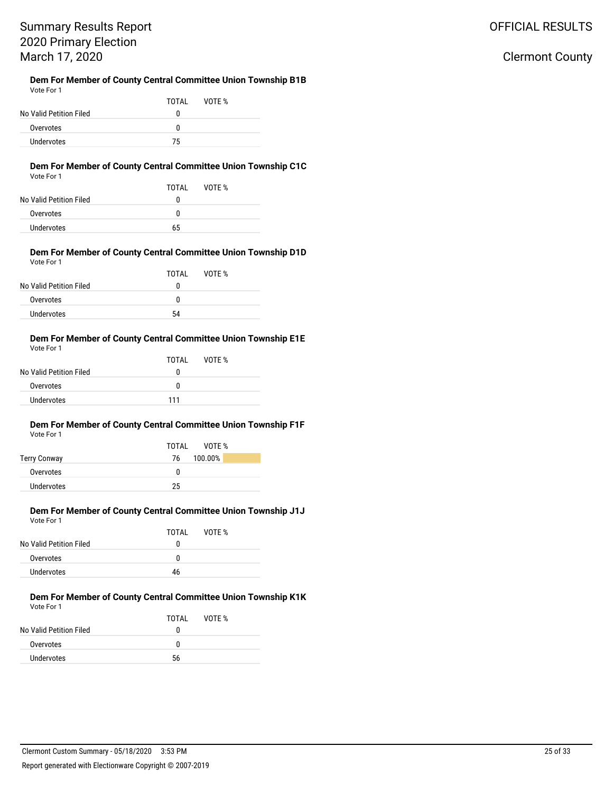# Summary Results Report 2020 Primary Election March 17, 2020

#### **Dem For Member of County Central Committee Union Township B1B** Vote For 1

|                         | TOTAL | VOTE % |  |
|-------------------------|-------|--------|--|
| No Valid Petition Filed | o     |        |  |
| Overvotes               | n     |        |  |
| <b>Undervotes</b>       | 75    |        |  |

#### **Dem For Member of County Central Committee Union Township C1C** Vote For 1

| VULTE FUIT              |       |        |  |
|-------------------------|-------|--------|--|
|                         | TOTAI | VOTF % |  |
| No Valid Petition Filed | 0     |        |  |
| Overvotes               | 0     |        |  |
| Undervotes              | 65    |        |  |

#### **Dem For Member of County Central Committee Union Township D1D** Vote For 1

| 1                       |       |        |  |
|-------------------------|-------|--------|--|
|                         | TOTAL | VOTE % |  |
| No Valid Petition Filed | 0     |        |  |
| Overvotes               | 0     |        |  |
| Undervotes              | 54    |        |  |

#### **Dem For Member of County Central Committee Union Township E1E** Vote For 1

|                         | TOTAI | VOTE % |  |
|-------------------------|-------|--------|--|
| No Valid Petition Filed | 0     |        |  |
| Overvotes               | n     |        |  |
| Undervotes              | 111   |        |  |
|                         |       |        |  |

#### **Dem For Member of County Central Committee Union Township F1F** Vote For 1

|                     | VOTE %<br>TOTAI |
|---------------------|-----------------|
| <b>Terry Conway</b> | 100.00%<br>76   |
| Overvotes           | 0               |
| Undervotes          | 25              |

#### **Dem For Member of County Central Committee Union Township J1J** Vote For 1

|                         | TOTAL | VOTF % |
|-------------------------|-------|--------|
| No Valid Petition Filed | o     |        |
| Overvotes               | n     |        |
| Undervotes              | 46    |        |

#### **Dem For Member of County Central Committee Union Township K1K** Vote For 1

|                         | TOTAI | VOTE % |
|-------------------------|-------|--------|
| No Valid Petition Filed | o     |        |
| Overvotes               | n     |        |
| Undervotes              | 56    |        |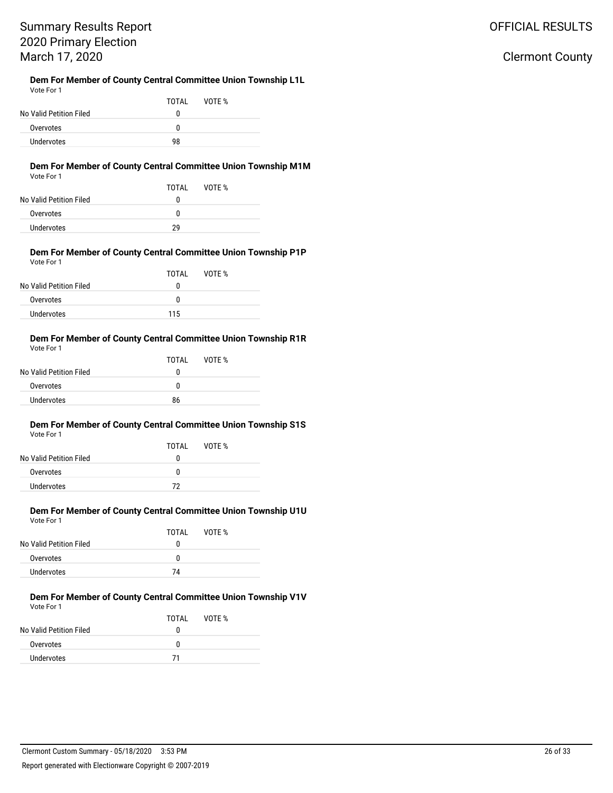# Summary Results Report 2020 Primary Election March 17, 2020

**Dem For Member of County Central Committee Union Township L1L** Vote For 1

| .                       |       |        |  |
|-------------------------|-------|--------|--|
|                         | TOTAI | VOTF % |  |
| No Valid Petition Filed |       |        |  |
| Overvotes               | n     |        |  |
| Undervotes              | 98    |        |  |

#### **Dem For Member of County Central Committee Union Township M1M** Vote For 1

| .                       |       |        |  |
|-------------------------|-------|--------|--|
|                         | TOTAL | VOTF % |  |
| No Valid Petition Filed | o     |        |  |
| Overvotes               | o     |        |  |
| Undervotes              | 29    |        |  |
|                         |       |        |  |

#### **Dem For Member of County Central Committee Union Township P1P** Vote For 1

| 1                       |       |        |  |
|-------------------------|-------|--------|--|
|                         | TOTAL | VOTE % |  |
| No Valid Petition Filed | 0     |        |  |
| Overvotes               | n     |        |  |
| Undervotes              | 115   |        |  |

#### **Dem For Member of County Central Committee Union Township R1R** Vote For 1

| TOTAI | VOTE % |  |
|-------|--------|--|
| 0     |        |  |
| n     |        |  |
| 86    |        |  |
|       |        |  |

#### **Dem For Member of County Central Committee Union Township S1S** Vote For 1

| No Valid Petition Filed | TOTAI<br>n | VOTF % |  |
|-------------------------|------------|--------|--|
| Overvotes               | n          |        |  |
| Undervotes              | 72         |        |  |

#### **Dem For Member of County Central Committee Union Township U1U** Vote For 1

| No Valid Petition Filed | TOTAI<br>o | VOTE % |
|-------------------------|------------|--------|
| Overvotes               | n          |        |
| Undervotes              | 74         |        |

#### **Dem For Member of County Central Committee Union Township V1V** Vote For 1

|                         | TOTAI | VOTE % |
|-------------------------|-------|--------|
| No Valid Petition Filed | o     |        |
| Overvotes               | n     |        |
| Undervotes              | 71    |        |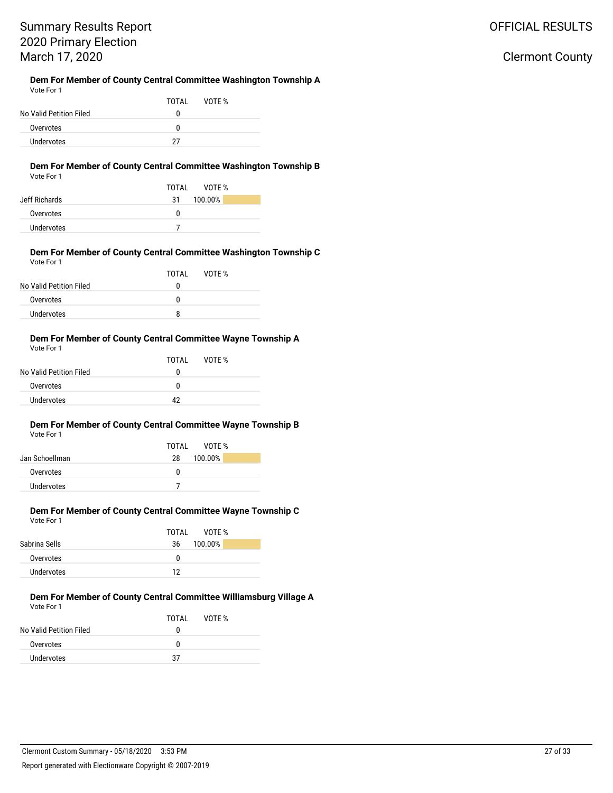Clermont County

### **Dem For Member of County Central Committee Washington Township A**

| Vote For 1              |       |        |  |
|-------------------------|-------|--------|--|
|                         | TOTAI | VOTF % |  |
| No Valid Petition Filed | 0     |        |  |
| Overvotes               | 0     |        |  |
| Undervotes              | 27    |        |  |

### **Dem For Member of County Central Committee Washington Township B**

| Vote For 1 |  |
|------------|--|
|------------|--|

|               | VOTF %<br>TOTAI |
|---------------|-----------------|
| Jeff Richards | 100.00%<br>31   |
| Overvotes     | n               |
| Undervotes    |                 |

#### **Dem For Member of County Central Committee Washington Township C** Vote For 1

|                         | TOTAI | VOTE % |  |
|-------------------------|-------|--------|--|
| No Valid Petition Filed |       |        |  |
| Overvotes               | o     |        |  |
| Undervotes              |       |        |  |

#### **Dem For Member of County Central Committee Wayne Township A** Vote For 1

|                         | TOTAL | VOTE % |  |
|-------------------------|-------|--------|--|
| No Valid Petition Filed | O     |        |  |
| Overvotes               | n     |        |  |
| Undervotes              | 12    |        |  |
|                         |       |        |  |

#### **Dem For Member of County Central Committee Wayne Township B** Vote For 1

|                | TOTAL VOTE %  |
|----------------|---------------|
| Jan Schoellman | 100.00%<br>28 |
| Overvotes      | n             |
| Undervotes     |               |

#### **Dem For Member of County Central Committee Wayne Township C** Vote For 1

|               | TOTAL<br>VOTF % |
|---------------|-----------------|
| Sabrina Sells | 100.00%<br>36   |
| Overvotes     | 0               |
| Undervotes    | 12              |

#### **Dem For Member of County Central Committee Williamsburg Village A** Vote For 1

|                         | TOTAI | VOTE % |  |
|-------------------------|-------|--------|--|
| No Valid Petition Filed | o     |        |  |
| Overvotes               | n     |        |  |
| Undervotes              | 37    |        |  |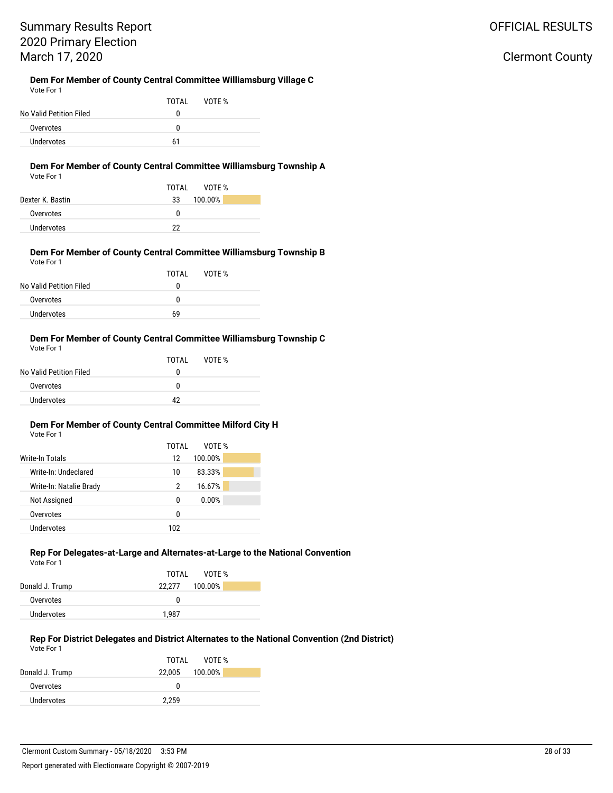Clermont County

#### **Dem For Member of County Central Committee Williamsburg Village C** Vote For 1

|                         | TOTAI | VOTE % |  |
|-------------------------|-------|--------|--|
| No Valid Petition Filed | o     |        |  |
| Overvotes               | n     |        |  |
| Undervotes              | 61    |        |  |

### **Dem For Member of County Central Committee Williamsburg Township A**

| Vote For |  |
|----------|--|
|          |  |

|                  | TOTAL<br>VOTF % |
|------------------|-----------------|
| Dexter K. Bastin | 100.00%<br>33   |
| Overvotes        | n               |
| Undervotes       | 22              |

#### **Dem For Member of County Central Committee Williamsburg Township B** Vote For 1

| .                       |       |        |  |
|-------------------------|-------|--------|--|
|                         | TOTAI | VOTE % |  |
| No Valid Petition Filed |       |        |  |
| Overvotes               | O     |        |  |
| Undervotes              | 69    |        |  |

#### **Dem For Member of County Central Committee Williamsburg Township C** Vote For 1

| .                       |       |        |  |
|-------------------------|-------|--------|--|
|                         | TOTAL | VOTE % |  |
| No Valid Petition Filed | O     |        |  |
| Overvotes               | n     |        |  |
| Undervotes              | 17    |        |  |

### **Dem For Member of County Central Committee Milford City H**

| Vote For 1 |
|------------|
|------------|

|                         | TOTAI | VOTF %  |  |
|-------------------------|-------|---------|--|
| Write-In Totals         | 12    | 100.00% |  |
| Write-In: Undeclared    | 10    | 83.33%  |  |
| Write-In: Natalie Brady | 2     | 16.67%  |  |
| Not Assigned            | 0     | 0.00%   |  |
| Overvotes               | 0     |         |  |
| Undervotes              | 102   |         |  |
|                         |       |         |  |

### **Rep For Delegates-at-Large and Alternates-at-Large to the National Convention**

| Vote For 1      |                   |
|-----------------|-------------------|
|                 | TOTAL VOTE %      |
| Donald J. Trump | 100.00%<br>22.277 |
| Overvotes       | O                 |
| Undervotes      | 1.987             |

#### **Rep For District Delegates and District Alternates to the National Convention (2nd District)** Vote For 1

| VOTE %<br>TOTAL |
|-----------------|
| 22.005 100.00%  |
| 0               |
| 2.259           |
|                 |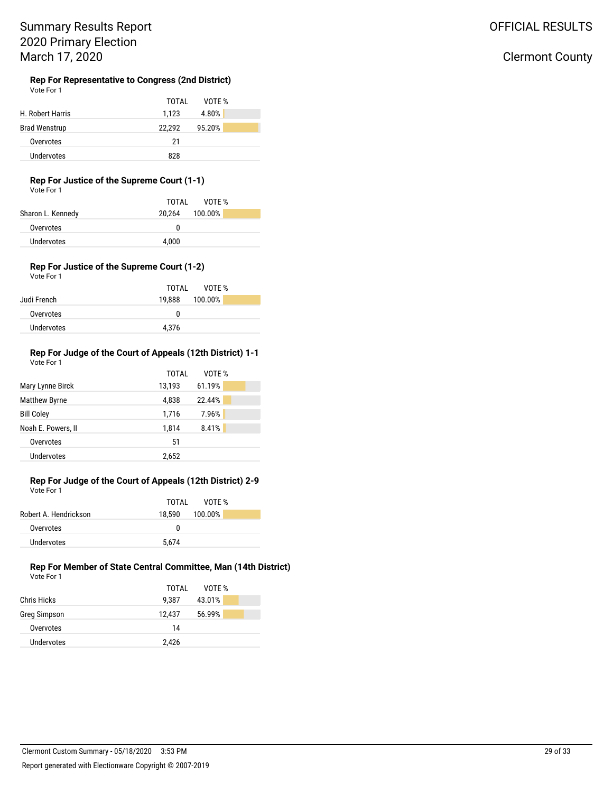### OFFICIAL RESULTS

### Clermont County

#### **Rep For Representative to Congress (2nd District)** Vote For 1

|                      | VOTE %<br>TOTAL  |
|----------------------|------------------|
| H. Robert Harris     | 4.80%<br>1.123   |
| <b>Brad Wenstrup</b> | 95.20%<br>22.292 |
| Overvotes            | 21               |
| <b>Undervotes</b>    | 828              |

### **Rep For Justice of the Supreme Court (1-1)**

Vote For 1

|                   | TOTAL<br>VOTF %   |
|-------------------|-------------------|
| Sharon L. Kennedy | 100.00%<br>20.264 |
| Overvotes         |                   |
| Undervotes        | 4.000             |

#### **Rep For Justice of the Supreme Court (1-2)** Vote For 1

|             | TOTAL VOTE %   |
|-------------|----------------|
| Judi French | 19.888 100.00% |
| Overvotes   | n              |
| Undervotes  | 4.376          |
|             |                |

#### **Rep For Judge of the Court of Appeals (12th District) 1-1** Vote For 1

|                      | TOTAL  | VOTE % |
|----------------------|--------|--------|
| Mary Lynne Birck     | 13,193 | 61.19% |
| <b>Matthew Byrne</b> | 4,838  | 22.44% |
| <b>Bill Coley</b>    | 1,716  | 7.96%  |
| Noah E. Powers, II   | 1,814  | 8.41%  |
| Overvotes            | 51     |        |
| Undervotes           | 2,652  |        |

#### **Rep For Judge of the Court of Appeals (12th District) 2-9** Vote For 1

|                       | TOTAI<br>VOTF % |
|-----------------------|-----------------|
| Robert A. Hendrickson | 18.590 100.00%  |
| Overvotes             | O               |
| Undervotes            | 5.674           |

#### **Rep For Member of State Central Committee, Man (14th District)** Vote For 1

|                    | TOTAL  | VOTE % |  |
|--------------------|--------|--------|--|
| <b>Chris Hicks</b> | 9.387  | 43.01% |  |
| Greg Simpson       | 12,437 | 56.99% |  |
| Overvotes          | 14     |        |  |
| <b>Undervotes</b>  | 2,426  |        |  |
|                    |        |        |  |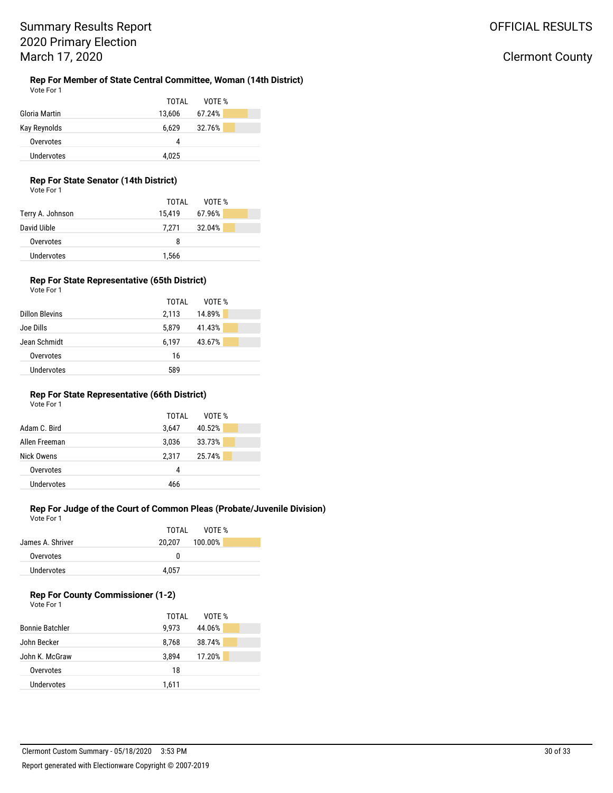#### **Rep For Member of State Central Committee, Woman (14th District)** Vote For 1

|               | TOTAL<br>VOTE %  |
|---------------|------------------|
| Gloria Martin | 67.24%<br>13,606 |
| Kay Reynolds  | 32.76%<br>6,629  |
| Overvotes     | 4                |
| Undervotes    | 4,025            |

### **Rep For State Senator (14th District)**

| Vote For 1 |  |
|------------|--|
|            |  |
|            |  |

|                  | TOTAI  | VOTE % |
|------------------|--------|--------|
| Terry A. Johnson | 15,419 | 67.96% |
| David Uible      | 7.271  | 32.04% |
| Overvotes        | 8      |        |
| Undervotes       | 1,566  |        |

### **Rep For State Representative (65th District)**

| Vote For 1 |  |  |
|------------|--|--|
|            |  |  |

|                       | TOTAL | VOTE % |  |
|-----------------------|-------|--------|--|
| <b>Dillon Blevins</b> | 2,113 | 14.89% |  |
| Joe Dills             | 5,879 | 41.43% |  |
| Jean Schmidt          | 6.197 | 43.67% |  |
| Overvotes             | 16    |        |  |
| <b>Undervotes</b>     | 589   |        |  |
|                       |       |        |  |

### **Rep For State Representative (66th District)**

| Vote For 1 |  |
|------------|--|
|------------|--|

|               | TOTAL | VOTE % |  |
|---------------|-------|--------|--|
| Adam C. Bird  | 3.647 | 40.52% |  |
| Allen Freeman | 3,036 | 33.73% |  |
| Nick Owens    | 2,317 | 25.74% |  |
| Overvotes     | 4     |        |  |
| Undervotes    | 466   |        |  |
|               |       |        |  |

### **Rep For Judge of the Court of Common Pleas (Probate/Juvenile Division)**

Vote For 1

|                  | TOTAL VOTE %   |
|------------------|----------------|
| James A. Shriver | 20,207 100.00% |
| Overvotes        | O              |
| Undervotes       | 4.057          |
|                  |                |

### **Rep For County Commissioner (1-2)**

|                        | TOTAI | VOTE % |
|------------------------|-------|--------|
| <b>Bonnie Batchler</b> | 9.973 | 44.06% |
| John Becker            | 8,768 | 38.74% |
| John K. McGraw         | 3.894 | 17.20% |
| Overvotes              | 18    |        |
| Undervotes             | 1,611 |        |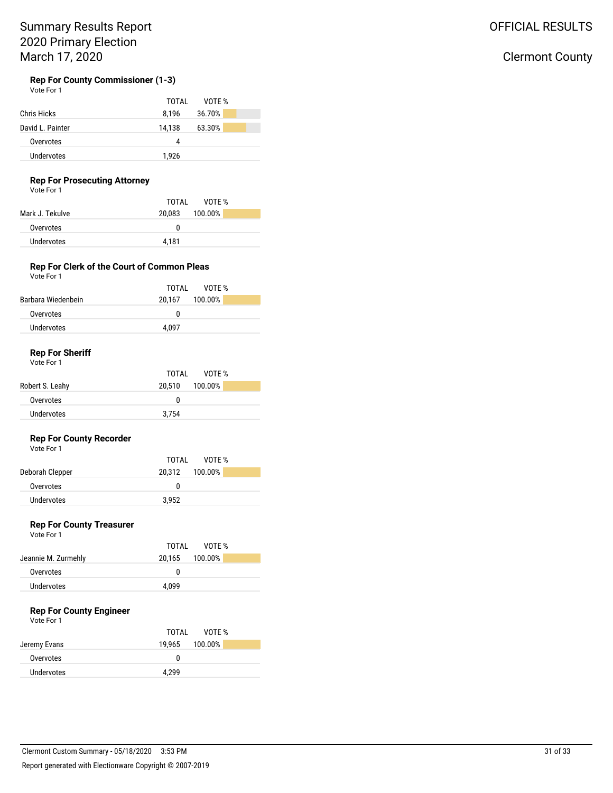### OFFICIAL RESULTS

# Clermont County

#### **Rep For County Commissioner (1-3)** Vote For 1

| TOTAL  | VOTE % |
|--------|--------|
| 8.196  | 36.70% |
| 14.138 | 63.30% |
| 4      |        |
| 1,926  |        |
|        |        |

### **Rep For Prosecuting Attorney**

Vote For 1

|                   | TOTAI<br>VOTF % |
|-------------------|-----------------|
| Mark J. Tekulve   | 20,083 100.00%  |
| Overvotes         | 0               |
| <b>Undervotes</b> | 4.181           |

#### **Rep For Clerk of the Court of Common Pleas** Vote For 1

|                    | TOTAL<br>VOTE % |
|--------------------|-----------------|
| Barbara Wiedenbein | 20.167 100.00%  |
| Overvotes          | o               |
| Undervotes         | 4.097           |
|                    |                 |

### **Rep For Sheriff**

Vote For 1

|                 | TOTAL VOTE %      |
|-----------------|-------------------|
| Robert S. Leahy | 100.00%<br>20.510 |
| Overvotes       | o                 |
| Undervotes      | 3.754             |

### **Rep For County Recorder**

Vote For 1

|                 | VOTF %<br>TOTAL   |
|-----------------|-------------------|
| Deborah Clepper | 20.312<br>100.00% |
| Overvotes       |                   |
| Undervotes      | 3.952             |

### **Rep For County Treasurer**

Vote For 1

| VOTF %<br>TOTAI   |
|-------------------|
| 100.00%<br>20.165 |
| 0                 |
| 4.099             |
|                   |

### **Rep For County Engineer**

Vote For 1

|              | VOTF %<br>TOTAI   |
|--------------|-------------------|
| Jeremy Evans | 100.00%<br>19.965 |
| Overvotes    | O                 |
| Undervotes   | 4.299             |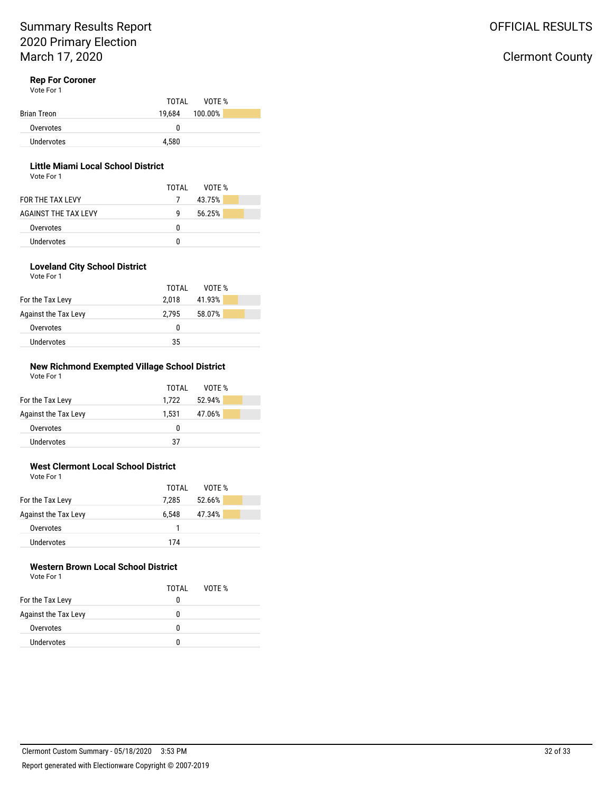# Clermont County

### **Rep For Coroner**

Vote For 1

|             | VOTF %<br>TOTAI |
|-------------|-----------------|
| Brian Treon | 19.684 100.00%  |
| Overvotes   | 0               |
| Undervotes  | 4.580           |

### **Little Miami Local School District**

Vote For 1

|                      | TOTAL | VOTF % |  |
|----------------------|-------|--------|--|
| FOR THE TAX I FVY    |       | 43.75% |  |
| AGAINST THE TAX LEVY | q     | 56.25% |  |
| Overvotes            | n     |        |  |
| Undervotes           | o     |        |  |

#### **Loveland City School District** Vote For 1

|                      | VOTE %<br>TOTAL |  |
|----------------------|-----------------|--|
| For the Tax Levy     | 41.93%<br>2.018 |  |
| Against the Tax Levy | 58.07%<br>2.795 |  |
| Overvotes            | O               |  |
| <b>Undervotes</b>    | 35              |  |

#### **New Richmond Exempted Village School District** Vote For 1

|                      | TOTAI | VOTE % |
|----------------------|-------|--------|
| For the Tax Levy     | 1.722 | 52.94% |
| Against the Tax Levy | 1.531 | 47.06% |
| Overvotes            | 0     |        |
| Undervotes           | 37    |        |

#### **West Clermont Local School District** Vote For 1

| 1                    |       |        |  |
|----------------------|-------|--------|--|
|                      | TOTAL | VOTE % |  |
| For the Tax Levy     | 7.285 | 52.66% |  |
| Against the Tax Levy | 6.548 | 47.34% |  |
| Overvotes            |       |        |  |
| Undervotes           | 174   |        |  |

# **Western Brown Local School District**

| Vote For 1           |       |        |  |
|----------------------|-------|--------|--|
|                      | TOTAI | VOTE % |  |
| For the Tax Levy     | 0     |        |  |
| Against the Tax Levy | o     |        |  |
| Overvotes            | o     |        |  |
| Undervotes           | o     |        |  |
|                      |       |        |  |